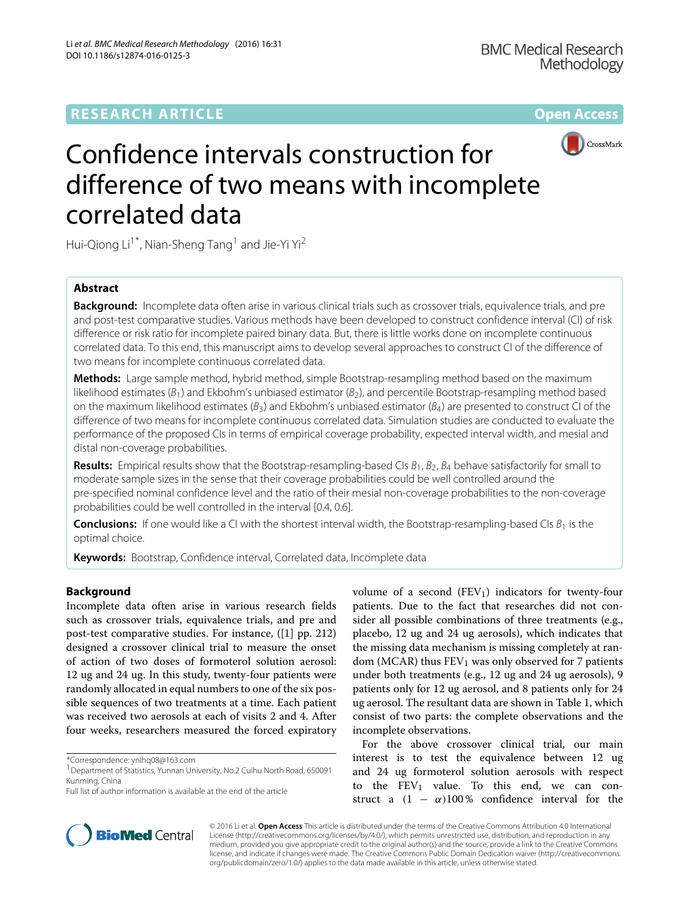## **RESEARCH ARTICLE Open Access**



# Confidence intervals construction for difference of two means with incomplete correlated data

Hui-Qiong Li<sup>1\*</sup>, Nian-Sheng Tang<sup>1</sup> and Jie-Yi Yi<sup>2</sup>

## **Abstract**

**Background:** Incomplete data often arise in various clinical trials such as crossover trials, equivalence trials, and pre and post-test comparative studies. Various methods have been developed to construct confidence interval (CI) of risk difference or risk ratio for incomplete paired binary data. But, there is little works done on incomplete continuous correlated data. To this end, this manuscript aims to develop several approaches to construct CI of the difference of two means for incomplete continuous correlated data.

**Methods:** Large sample method, hybrid method, simple Bootstrap-resampling method based on the maximum likelihood estimates ( $B_1$ ) and Ekbohm's unbiased estimator ( $B_2$ ), and percentile Bootstrap-resampling method based on the maximum likelihood estimates ( $B_3$ ) and Ekbohm's unbiased estimator ( $B_4$ ) are presented to construct CI of the difference of two means for incomplete continuous correlated data. Simulation studies are conducted to evaluate the performance of the proposed CIs in terms of empirical coverage probability, expected interval width, and mesial and distal non-coverage probabilities.

**Results:** Empirical results show that the Bootstrap-resampling-based CIs  $B_1$ ,  $B_2$ ,  $B_4$  behave satisfactorily for small to moderate sample sizes in the sense that their coverage probabilities could be well controlled around the pre-specified nominal confidence level and the ratio of their mesial non-coverage probabilities to the non-coverage probabilities could be well controlled in the interval [0.4, 0.6].

**Conclusions:** If one would like a CI with the shortest interval width, the Bootstrap-resampling-based CIs  $B_1$  is the optimal choice.

**Keywords:** Bootstrap, Confidence interval, Correlated data, Incomplete data

## **Background**

Incomplete data often arise in various research fields such as crossover trials, equivalence trials, and pre and post-test comparative studies. For instance, ([\[1\]](#page-17-0) pp. 212) designed a crossover clinical trial to measure the onset of action of two doses of formoterol solution aerosol: 12 ug and 24 ug. In this study, twenty-four patients were randomly allocated in equal numbers to one of the six possible sequences of two treatments at a time. Each patient was received two aerosols at each of visits 2 and 4. After four weeks, researchers measured the forced expiratory

\*Correspondence: [ynlhq08@163.com](mailto: ynlhq08@163.com)

volume of a second  $(FEV_1)$  indicators for twenty-four patients. Due to the fact that researches did not consider all possible combinations of three treatments (e.g., placebo, 12 ug and 24 ug aerosols), which indicates that the missing data mechanism is missing completely at random (MCAR) thus  $FEV<sub>1</sub>$  was only observed for 7 patients under both treatments (e.g., 12 ug and 24 ug aerosols), 9 patients only for 12 ug aerosol, and 8 patients only for 24 ug aerosol. The resultant data are shown in Table [1,](#page-1-0) which consist of two parts: the complete observations and the incomplete observations.

For the above crossover clinical trial, our main interest is to test the equivalence between 12 ug and 24 ug formoterol solution aerosols with respect to the  $FEV_1$  value. To this end, we can construct a  $(1 - \alpha)100\%$  confidence interval for the



© 2016 Li et al. **Open Access** This article is distributed under the terms of the Creative Commons Attribution 4.0 International License [\(http://creativecommons.org/licenses/by/4.0/\)](http://creativecommons.org/licenses/by/4.0/), which permits unrestricted use, distribution, and reproduction in any medium, provided you give appropriate credit to the original author(s) and the source, provide a link to the Creative Commons license, and indicate if changes were made. The Creative Commons Public Domain Dedication waiver [\(http://creativecommons.](http://creativecommons.org/publicdomain/zero/1.0/) [org/publicdomain/zero/1.0/\)](http://creativecommons.org/publicdomain/zero/1.0/) applies to the data made available in this article, unless otherwise stated.

<sup>&</sup>lt;sup>1</sup> Department of Statistics, Yunnan University, No.2 Cuihu North Road, 650091 Kunming, China

Full list of author information is available at the end of the article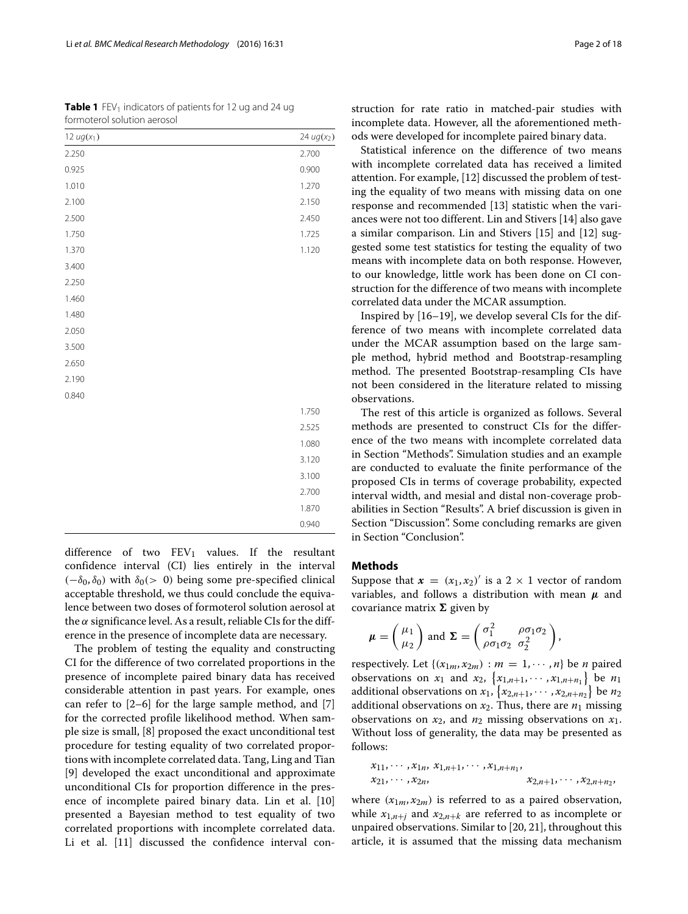<span id="page-1-0"></span>**Table 1** FEV<sub>1</sub> indicators of patients for 12 ug and 24 ug formoterol solution aerosol

| 12 $ug(x_1)$ | $24 \, ug(x_2)$ |
|--------------|-----------------|
| 2.250        | 2.700           |
| 0.925        | 0.900           |
| 1.010        | 1.270           |
| 2.100        | 2.150           |
| 2.500        | 2.450           |
| 1.750        | 1.725           |
| 1.370        | 1.120           |
| 3.400        |                 |
| 2.250        |                 |
| 1.460        |                 |
| 1.480        |                 |
| 2.050        |                 |
| 3.500        |                 |
| 2.650        |                 |
| 2.190        |                 |
| 0.840        |                 |
|              | 1.750           |
|              | 2.525           |
|              | 1.080           |
|              | 3.120           |
|              | 3.100           |
|              | 2.700           |
|              | 1.870           |
|              | 0.940           |

difference of two  $FEV_1$  values. If the resultant confidence interval (CI) lies entirely in the interval  $(-\delta_0, \delta_0)$  with  $\delta_0$ (> 0) being some pre-specified clinical acceptable threshold, we thus could conclude the equivalence between two doses of formoterol solution aerosol at the  $\alpha$  significance level. As a result, reliable CIs for the difference in the presence of incomplete data are necessary.

The problem of testing the equality and constructing CI for the difference of two correlated proportions in the presence of incomplete paired binary data has received considerable attention in past years. For example, ones can refer to [\[2–](#page-17-1)[6\]](#page-17-2) for the large sample method, and [\[7\]](#page-17-3) for the corrected profile likelihood method. When sample size is small, [\[8\]](#page-17-4) proposed the exact unconditional test procedure for testing equality of two correlated proportions with incomplete correlated data. Tang, Ling and Tian [\[9\]](#page-17-5) developed the exact unconditional and approximate unconditional CIs for proportion difference in the presence of incomplete paired binary data. Lin et al. [\[10\]](#page-17-6) presented a Bayesian method to test equality of two correlated proportions with incomplete correlated data. Li et al. [\[11\]](#page-17-7) discussed the confidence interval construction for rate ratio in matched-pair studies with incomplete data. However, all the aforementioned methods were developed for incomplete paired binary data.

Statistical inference on the difference of two means with incomplete correlated data has received a limited attention. For example, [\[12\]](#page-17-8) discussed the problem of testing the equality of two means with missing data on one response and recommended [\[13\]](#page-17-9) statistic when the variances were not too different. Lin and Stivers [\[14\]](#page-17-10) also gave a similar comparison. Lin and Stivers [\[15\]](#page-17-11) and [\[12\]](#page-17-8) suggested some test statistics for testing the equality of two means with incomplete data on both response. However, to our knowledge, little work has been done on CI construction for the difference of two means with incomplete correlated data under the MCAR assumption.

Inspired by [\[16–](#page-17-12)[19\]](#page-17-13), we develop several CIs for the difference of two means with incomplete correlated data under the MCAR assumption based on the large sample method, hybrid method and Bootstrap-resampling method. The presented Bootstrap-resampling CIs have not been considered in the literature related to missing observations.

The rest of this article is organized as follows. Several methods are presented to construct CIs for the difference of the two means with incomplete correlated data in Section ["Methods"](#page-1-1). Simulation studies and an example are conducted to evaluate the finite performance of the proposed CIs in terms of coverage probability, expected interval width, and mesial and distal non-coverage probabilities in Section ["Results"](#page-4-0). A brief discussion is given in Section ["Discussion"](#page-16-0). Some concluding remarks are given in Section ["Conclusion"](#page-17-14).

## <span id="page-1-1"></span>**Methods**

Suppose that  $\mathbf{x} = (x_1, x_2)'$  is a  $2 \times 1$  vector of random variables, and follows a distribution with mean *μ* and covariance matrix  $\Sigma$  given by

<span id="page-1-2"></span>
$$
\boldsymbol{\mu} = \begin{pmatrix} \mu_1 \\ \mu_2 \end{pmatrix} \text{ and } \boldsymbol{\Sigma} = \begin{pmatrix} \sigma_1^2 & \rho \sigma_1 \sigma_2 \\ \rho \sigma_1 \sigma_2 & \sigma_2^2 \end{pmatrix},
$$

respectively. Let  $\{(x_{1m}, x_{2m}) : m = 1, \cdots, n\}$  be *n* paired observations on *x*<sub>1</sub> and *x*<sub>2</sub>,  $\{x_{1,n+1}, \cdots, x_{1,n+n_1}\}$  be *n*<sub>1</sub> additional observations on  $x_1$ ,  $\{x_{2,n+1}, \cdots, x_{2,n+n_2}\}$  be  $n_2$ additional observations on  $x_2$ . Thus, there are  $n_1$  missing observations on  $x_2$ , and  $n_2$  missing observations on  $x_1$ . Without loss of generality, the data may be presented as follows:

$$
x_{11}, \cdots, x_{1n}, x_{1,n+1}, \cdots, x_{1,n+n_1},
$$
  

$$
x_{21}, \cdots, x_{2n}, \qquad x_{2,n+1}, \cdots, x_{2,n+n_2},
$$

where  $(x_{1m}, x_{2m})$  is referred to as a paired observation, while  $x_{1,n+j}$  and  $x_{2,n+k}$  are referred to as incomplete or unpaired observations. Similar to [\[20,](#page-17-15) [21\]](#page-17-16), throughout this article, it is assumed that the missing data mechanism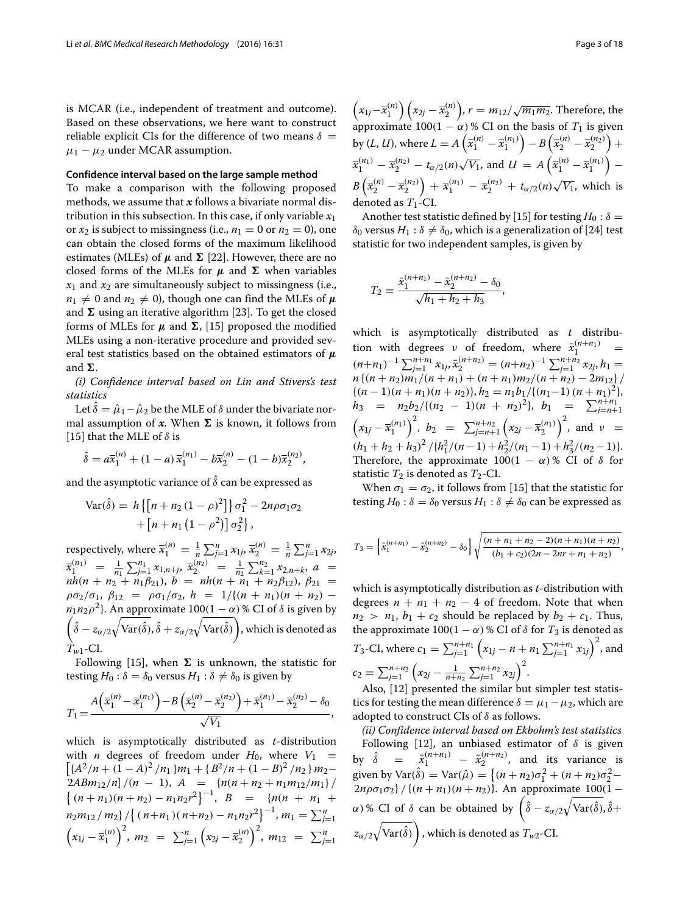is MCAR (i.e., independent of treatment and outcome). Based on these observations, we here want to construct reliable explicit CIs for the difference of two means  $\delta =$  $\mu_1 - \mu_2$  under MCAR assumption.

## **Confidence interval based on the large sample method**

To make a comparison with the following proposed methods, we assume that *x* follows a bivariate normal distribution in this subsection. In this case, if only variable *x*<sup>1</sup> or  $x_2$  is subject to missingness (i.e.,  $n_1 = 0$  or  $n_2 = 0$ ), one can obtain the closed forms of the maximum likelihood estimates (MLEs) of  $\mu$  and  $\Sigma$  [\[22\]](#page-17-17). However, there are no closed forms of the MLEs for  $\mu$  and  $\Sigma$  when variables  $x_1$  and  $x_2$  are simultaneously subject to missingness (i.e.,  $n_1 \neq 0$  and  $n_2 \neq 0$ ), though one can find the MLEs of  $\mu$ and  $\Sigma$  using an iterative algorithm [\[23\]](#page-17-18). To get the closed forms of MLEs for  $\mu$  and  $\Sigma$ , [\[15\]](#page-17-11) proposed the modified MLEs using a non-iterative procedure and provided several test statistics based on the obtained estimators of *μ* and  $\Sigma$ .

*(i) Confidence interval based on Lin and Stivers's test statistics*

Let  $\hat{\delta} = \hat{\mu}_1 - \hat{\mu}_2$  be the MLE of  $\delta$  under the bivariate normal assumption of  $x$ . When  $\Sigma$  is known, it follows from [\[15\]](#page-17-11) that the MLE of  $\delta$  is

$$
\hat{\delta} = a\overline{x}_1^{(n)} + (1-a)\,\overline{x}_1^{(n)} - b\overline{x}_2^{(n)} - (1-b)\overline{x}_2^{(n)}\,,
$$

and the asymptotic variance of  $\hat{\delta}$  can be expressed as

$$
\text{Var}(\hat{\delta}) = h\left\{ \left[ n + n_2 \left( 1 - \rho \right)^2 \right] \right\} \sigma_1^2 - 2n\rho \sigma_1 \sigma_2
$$

$$
+ \left[ n + n_1 \left( 1 - \rho^2 \right) \right] \sigma_2^2 \},
$$

respectively, where  $\bar{x}_1^{(n)} = \frac{1}{n} \sum_{j=1}^n x_{1j}, \bar{x}_2^{(n)} = \frac{1}{n} \sum_{j=1}^n x_{2j}$ ,  $\overline{x}_1^{(n_1)} = \frac{1}{n_1} \sum_{j=1}^{n_1} x_{1,n+j}, \ \overline{x}_2^{(n_2)} = \frac{1}{n_2} \sum_{k=1}^{n_2} x_{2,n+k}, \ a =$  $nh(n + n_2 + n_1\beta_{21}), b = nh(n + n_1 + n_2\beta_{12}), \beta_{21} =$  $\rho \sigma_2 / \sigma_1$ ,  $\beta_{12} = \rho \sigma_1 / \sigma_2$ ,  $h = 1 / \{(n + n_1)(n + n_2)$ *n*<sub>1</sub>*n*<sub>2</sub> $\rho$ <sup>2</sup>}. An approximate 100(1 −  $\alpha$ ) % CI of  $\delta$  is given by  $\left(\hat{\delta} - z_{\alpha/2}\sqrt{\text{Var}(\hat{\delta})}, \hat{\delta} + z_{\alpha/2}\sqrt{\text{Var}(\hat{\delta})}\right)$ Í. , which is denoted as *Tw*1-CI.

Following [\[15\]](#page-17-11), when  $\Sigma$  is unknown, the statistic for testing  $H_0$ :  $\delta = \delta_0$  versus  $H_1$ :  $\delta \neq \delta_0$  is given by

$$
T_1 = \frac{A(\overline{x}_1^{(n)} - \overline{x}_1^{(n_1)}) - B(\overline{x}_2^{(n)} - \overline{x}_2^{(n_2)}) + \overline{x}_1^{(n_1)} - \overline{x}_2^{(n_2)} - \delta_0}{\sqrt{V_1}},
$$

which is asymptotically distributed as *t*-distribution with *n* degrees of freedom under  $H_0$ , where  $V_1$  =  ${A^2/n + (1 - A)^2/n_1}m_1 + {B^2/n + (1 - B)^2/n_2}m_2 2ABm_{12}/n$  /(*n* - 1),  $A = \frac{n(n+n_2+n_1m_{12}/m_1)}{n}$  $\{(n + n_1)(n + n_2) - n_1n_2r^2\}^{-1}, B = \{n(n + n_1 + n_2)\}$  $m_2 m_{12} / m_2$   $\left( \left( n + n_1 \right) \left( n + n_2 \right) - n_1 n_2 r^2 \right)^{-1}$ ,  $m_1 = \sum_{j=1}^n$  $(x_{1j} - \bar{x}_1^{(n)})^2$ ,  $m_2 = \sum_{j=1}^n$  $(x_{2j} - \overline{x}_2^{(n)})^2$ ,  $m_{12} = \sum_{j=1}^n$ 

 $\left(x_{1j}-\overline{x}_1^{(n)}\right)\left(x_{2j}-\overline{x}_2^{(n)}\right)$ , *r* = *m*<sub>12</sub>/√*m*<sub>1</sub>*m*<sub>2</sub>. Therefore, the approximate  $100(1 - \alpha)$ % CI on the basis of  $T_1$  is given by (*L*, *U*), where  $L = A\left(\bar{x}_1^{(n)} - \bar{x}_1^{(n_1)}\right) - B\left(\bar{x}_2^{(n)} - \bar{x}_2^{(n_2)}\right)$  $^{+}$  $\overline{x}_1^{(n_1)} - \overline{x}_2^{(n_2)} - t_{\alpha/2}(n)\sqrt{V_1}$ , and  $U = A\left(\overline{x}_1^{(n)} - \overline{x}_1^{(n_1)}\right)$ −  $B\left(\bar{x}_2^{(n)} - \bar{x}_2^{(n_2)}\right) + \bar{x}_1^{(n_1)} - \bar{x}_2^{(n_2)} + t_{\alpha/2}(n)\sqrt{V_1}$ , which is denoted as  $T_1$ -CI.

Another test statistic defined by [\[15\]](#page-17-11) for testing  $H_0$ :  $\delta =$  $δ$ <sup>0</sup> versus *H*<sub>1</sub> :  $δ$   $\neq$   $δ$ <sup>0</sup>, which is a generalization of [\[24\]](#page-17-19) test statistic for two independent samples, is given by

$$
T_2 = \frac{\bar{x}_1^{(n+n_1)} - \bar{x}_2^{(n+n_2)} - \delta_0}{\sqrt{h_1 + h_2 + h_3}},
$$

which is asymptotically distributed as *t* distribution with degrees  $\nu$  of freedom, where  $\bar{x}_1^{(n+n_1)}$  =  $(n+n_1)^{-1} \sum_{j=1}^{n+n_1} x_{1j}, \bar{x}_2^{(n+n_2)} = (n+n_2)^{-1} \sum_{j=1}^{n+n_2} x_{2j}, h_1 =$  $n\{(n+n_2)m_1/(n+n_1)+(n+n_1)m_2/(n+n_2)-2m_{12}\}\,$  ${(n-1)(n+n_1)(n+n_2)}, h_2 = \frac{n_1b_1}{(n_1-1)(n+n_1)^2},$  $h_3$  =  $n_2b_2/{(n_2 - 1)(n + n_2)^2}$ ,  $b_1$  =  $\sum_{j=n+1}^{n+n_1}$  $\left(x_{1j} - \bar{x}_1^{(n_1)}\right)^2$ ,  $b_2 = \sum_{j=n+1}^{n+n_2}$  $(x_{2j} - \bar{x}_2^{(n_1)})^2$ , and  $\nu =$  $(h_1 + h_2 + h_3)^2 / \{h_1^2 / (n-1) + h_2^2 / (n_1 - 1) + h_3^2 / (n_2 - 1)\}.$ Therefore, the approximate  $100(1 - \alpha)$ % CI of  $\delta$  for statistic  $T_2$  is denoted as  $T_2$ -CI.

When  $\sigma_1 = \sigma_2$ , it follows from [\[15\]](#page-17-11) that the statistic for testing  $H_0$ :  $\delta = \delta_0$  versus  $H_1$ :  $\delta \neq \delta_0$  can be expressed as

$$
T_3 = \left\{ \bar{x}_1^{(n+n_1)} - \bar{x}_2^{(n+n_2)} - \delta_0 \right\} \sqrt{\frac{(n+n_1+n_2-2)(n+n_1)(n+n_2)}{(b_1+c_2)(2n-2nr+n_1+n_2)}},
$$

which is asymptotically distribution as *t*-distribution with degrees  $n + n_1 + n_2 - 4$  of freedom. Note that when  $n_2 > n_1$ ,  $b_1 + c_2$  should be replaced by  $b_2 + c_1$ . Thus, the approximate  $100(1 - \alpha)$ % CI of  $\delta$  for  $T_3$  is denoted as *T*<sub>3</sub>-CI, where  $c_1 = \sum_{j=1}^{n+n_1}$  $(x_{1j} - n + n_1 \sum_{j=1}^{n+n_1} x_{1j})^2$ , and  $c_2 = \sum_{j=1}^{n+n_2}$  $\left(x_{2j} - \frac{1}{n+n_2} \sum_{j=1}^{n+n_2} x_{2j}\right)^2$ . Also, [\[12\]](#page-17-8) presented the similar but simpler test statis-

tics for testing the mean difference  $\delta = \mu_1 - \mu_2$ , which are adopted to construct CIs of  $\delta$  as follows.

*(ii) Confidence interval based on Ekbohm's test statistics* Following [\[12\]](#page-17-8), an unbiased estimator of  $\delta$  is given by  $\hat{\delta}$  =  $\bar{x}_1^{(n+n_1)}$  –  $\bar{x}_2^{(n+n_2)}$ , and its variance is given by Var( $\hat{\delta}$ ) = Var( $\hat{\mu}$ ) = {(*n* + *n*<sub>2</sub>) $\sigma_1^2$  + (*n* + *n*<sub>2</sub>) $\sigma_2^2$  –  $2n\rho\sigma_1\sigma_2$  / { $(n + n_1)(n + n_2)$ }. An approximate  $100(1$ α)% CI of  $\delta$  can be obtained by  $\left(\hat{\delta} - z_{\alpha/2}\sqrt{\text{Var}(\hat{\delta})}, \hat{\delta}+\right)$  $z_{\alpha/2}\sqrt{\text{Var}(\hat{\delta})}$  $\overline{\phantom{0}}$ , which is denoted as *Tw*2-CI.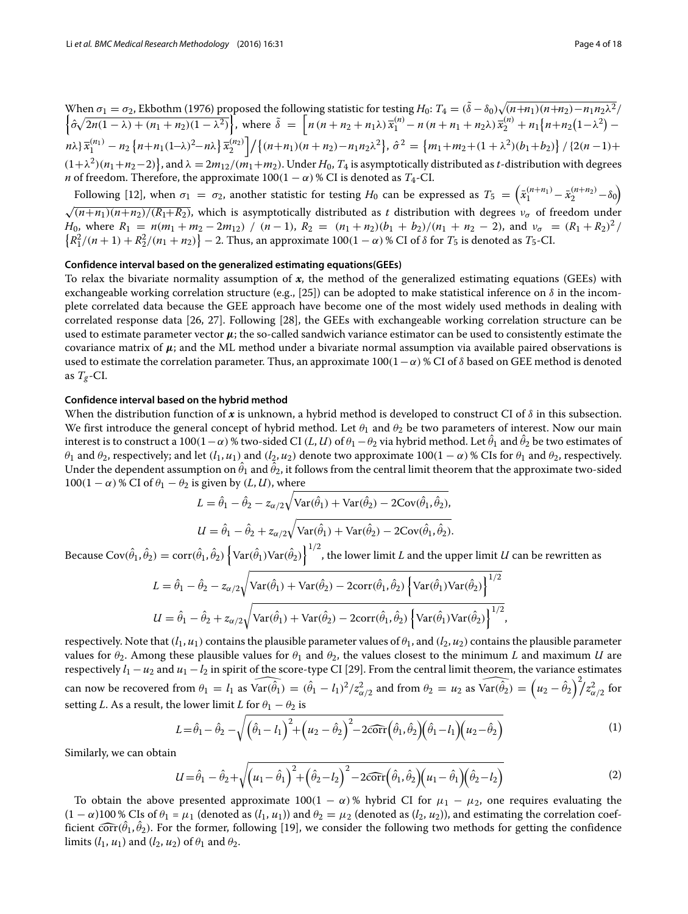When  $\sigma_1 = \sigma_2$ , Ekbothm (1976) proposed the following statistic for testing  $H_0$ :  $T_4 = (\tilde{\delta} - \delta_0) \sqrt{(n + n_1)(n + n_2) - n_1 n_2 \lambda^2}/$ <br> $\left\{ \frac{\hat{\sigma} \sqrt{2n(1 - \lambda) + (n_1 + n_2)(1 - \lambda^2)}}{(n + n_2 + n_1 \lambda)} \right\}$ , where  $\tilde{\delta} = \left[ n(n + n_2 + n_1 \lambda)$  $\left\{n\lambda\right\} \overline{x}_1^{(n_1)} - n_2 \left\{n + n_1(1-\lambda)^2 - n\lambda\right\} \overline{x}_2^{(n_2)}\right\} / \left\{(n+n_1)(n+n_2) - n_1n_2\lambda^2\right\}, \hat{\sigma}^2 = \left\{m_1 + m_2 + (1+\lambda^2)(b_1+b_2)\right\} / \left\{(2(n-1)+1)\lambda\right\}$  $(1+\lambda^2)(n_1+n_2-2)$ , and  $\lambda = 2m_{12}/(m_1+m_2)$ . Under  $H_0$ ,  $T_4$  is asymptotically distributed as *t*-distribution with degrees *n* of freedom. Therefore, the approximate  $100(1 - \alpha)$  % CI is denoted as  $T_4$ -CI.

Following [\[12\]](#page-17-8), when  $\sigma_1 = \sigma_2$ , another statistic for testing  $H_0$  can be expressed as  $T_5 = \left(\bar{x}_1^{(n+n_1)} - \bar{x}_2^{(n+n_2)} - \delta_0\right)$  $\sqrt{(n+n_1)(n+n_2)/(R_1+R_2)}$ , which is asymptotically distributed as *t* distribution with degrees  $v_\sigma$  of freedom under *H*<sub>0</sub>, where  $R_1 = n(m_1 + m_2 - 2m_{12}) / (n - 1)$ ,  $R_2 = (n_1 + n_2)(b_1 + b_2)/(n_1 + n_2 - 2)$ , and  $v_\sigma = (R_1 + R_2)^2 / (n_1 + n_2 - 2)$  ${R_1^2/(n+1) + R_2^2/(n_1+n_2)} - 2$ . Thus, an approximate 100(1 –  $\alpha$ ) % CI of  $\delta$  for *T*<sub>5</sub> is denoted as *T*<sub>5</sub>-CI.

## **Confidence interval based on the generalized estimating equations(GEEs)**

To relax the bivariate normality assumption of *x*, the method of the generalized estimating equations (GEEs) with exchangeable working correlation structure (e.g., [\[25\]](#page-17-20)) can be adopted to make statistical inference on  $\delta$  in the incomplete correlated data because the GEE approach have become one of the most widely used methods in dealing with correlated response data [\[26,](#page-17-21) [27\]](#page-17-22). Following [\[28\]](#page-17-23), the GEEs with exchangeable working correlation structure can be used to estimate parameter vector  $\mu$ ; the so-called sandwich variance estimator can be used to consistently estimate the covariance matrix of  $\mu$ ; and the ML method under a bivariate normal assumption via available paired observations is used to estimate the correlation parameter. Thus, an approximate 100(1– $\alpha$ ) % CI of  $\delta$  based on GEE method is denoted as  $T_g$ -CI.

## **Confidence interval based on the hybrid method**

When the distribution function of x is unknown, a hybrid method is developed to construct CI of  $\delta$  in this subsection. We first introduce the general concept of hybrid method. Let  $\theta_1$  and  $\theta_2$  be two parameters of interest. Now our main interest is to construct a 100(1  $-\alpha$ ) % two-sided CI (*L*, *U*) of  $\theta_1 - \theta_2$  via hybrid method. Let  $\theta_1$  and  $\theta_2$  be two estimates of  $\theta_1$  and  $\theta_2$ , respectively; and let  $(l_1, u_1)$  and  $(l_2, u_2)$  denote two approximate  $100(1 - \alpha)$ % CIs for  $\theta_1$  and  $\theta_2$ , respectively. Under the dependent assumption on  $\theta_1$  and  $\theta_2$ , it follows from the central limit theorem that the approximate two-sided  $100(1 - \alpha)$  % CI of  $\theta_1 - \theta_2$  is given by  $(L, U)$ , where

$$
L = \hat{\theta}_1 - \hat{\theta}_2 - z_{\alpha/2} \sqrt{\text{Var}(\hat{\theta}_1) + \text{Var}(\hat{\theta}_2) - 2\text{Cov}(\hat{\theta}_1, \hat{\theta}_2)},
$$
  

$$
U = \hat{\theta}_1 - \hat{\theta}_2 + z_{\alpha/2} \sqrt{\text{Var}(\hat{\theta}_1) + \text{Var}(\hat{\theta}_2) - 2\text{Cov}(\hat{\theta}_1, \hat{\theta}_2)}.
$$

Because Cov $(\hat{\theta}_1,\hat{\theta}_2)=\mathrm{corr}(\hat{\theta}_1,\hat{\theta}_2)\left\{\mathrm{Var}(\hat{\theta}_1)\mathrm{Var}(\hat{\theta}_2)\right\}^{1/2}$ , the lower limit  $L$  and the upper limit  $U$  can be rewritten as

$$
L = \hat{\theta}_1 - \hat{\theta}_2 - z_{\alpha/2} \sqrt{\text{Var}(\hat{\theta}_1) + \text{Var}(\hat{\theta}_2) - 2\text{corr}(\hat{\theta}_1, \hat{\theta}_2) \left\{ \text{Var}(\hat{\theta}_1) \text{Var}(\hat{\theta}_2) \right\}^{1/2}}
$$
  

$$
U = \hat{\theta}_1 - \hat{\theta}_2 + z_{\alpha/2} \sqrt{\text{Var}(\hat{\theta}_1) + \text{Var}(\hat{\theta}_2) - 2\text{corr}(\hat{\theta}_1, \hat{\theta}_2) \left\{ \text{Var}(\hat{\theta}_1) \text{Var}(\hat{\theta}_2) \right\}^{1/2}},
$$

respectively. Note that  $(l_1, u_1)$  contains the plausible parameter values of  $\theta_1$ , and  $(l_2, u_2)$  contains the plausible parameter values for  $\theta_2$ . Among these plausible values for  $\theta_1$  and  $\theta_2$ , the values closest to the minimum *L* and maximum *U* are respectively  $l_1 - u_2$  and  $u_1 - l_2$  in spirit of the score-type CI [\[29\]](#page-17-24). From the central limit theorem, the variance estimates values for  $\theta_2$ . Among these plausible values for  $\theta_1$  and  $\theta_2$ , the values closest to the minimum *L* and maximum *LI* are respectively  $l_1 - u_2$  and  $u_1 - l_2$  in spirit of the score-type CI [29]. From the central setting *L*. As a result, the lower limit *L* for  $\theta_1 - \theta_2$  is

$$
L = \hat{\theta}_1 - \hat{\theta}_2 - \sqrt{\left(\hat{\theta}_1 - l_1\right)^2 + \left(u_2 - \hat{\theta}_2\right)^2 - 2\widehat{\text{corr}}\left(\hat{\theta}_1, \hat{\theta}_2\right)\left(\hat{\theta}_1 - l_1\right)\left(u_2 - \hat{\theta}_2\right)}
$$
(1)

Similarly, we can obtain

<span id="page-3-0"></span>
$$
U = \hat{\theta}_1 - \hat{\theta}_2 + \sqrt{\left(u_1 - \hat{\theta}_1\right)^2 + \left(\hat{\theta}_2 - l_2\right)^2 - 2\widehat{\text{corr}}\left(\hat{\theta}_1, \hat{\theta}_2\right)\left(u_1 - \hat{\theta}_1\right)\left(\hat{\theta}_2 - l_2\right)}
$$
(2)

To obtain the above presented approximate  $100(1 - \alpha)$ % hybrid CI for  $\mu_1 - \mu_2$ , one requires evaluating the  $(1 - \alpha)100\%$  CIs of  $\theta_1 = \mu_1$  (denoted as  $(l_1, u_1)$ ) and  $\theta_2 = \mu_2$  (denoted as  $(l_2, u_2)$ ), and estimating the correlation coefficient  $\widehat{\text{corr}}(\theta_1, \theta_2)$ . For the former, following [\[19\]](#page-17-13), we consider the following two methods for getting the confidence limits  $(l_1, u_1)$  and  $(l_2, u_2)$  of  $\theta_1$  and  $\theta_2$ .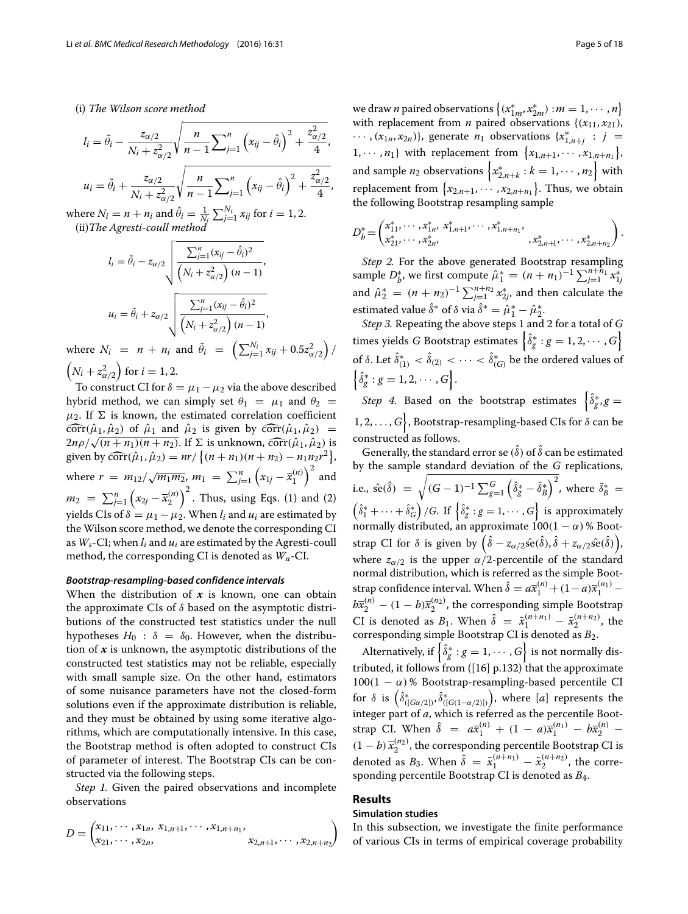### (i) *The Wilson score method*

<span id="page-4-1"></span>
$$
l_{i} = \tilde{\theta}_{i} - \frac{z_{\alpha/2}}{N_{i} + z_{\alpha/2}^{2}} \sqrt{\frac{n}{n-1} \sum_{j=1}^{n} (x_{ij} - \hat{\theta}_{i})^{2} + \frac{z_{\alpha/2}^{2}}{4}},
$$
  

$$
u_{i} = \tilde{\theta}_{i} + \frac{z_{\alpha/2}}{N_{i} + z_{\alpha/2}^{2}} \sqrt{\frac{n}{n-1} \sum_{j=1}^{n} (x_{ij} - \hat{\theta}_{i})^{2} + \frac{z_{\alpha/2}^{2}}{4}},
$$

where  $N_i = n + n_i$  and  $\hat{\theta}_i = \frac{1}{N_i} \sum_{j=1}^{N_i} x_{ij}$  for  $i = 1, 2$ . (ii)*The Agresti-coull method*

$$
l_{i} = \tilde{\theta}_{i} - z_{\alpha/2} \sqrt{\frac{\sum_{j=1}^{n} (x_{ij} - \hat{\theta}_{i})^{2}}{\left(N_{i} + z_{\alpha/2}^{2}\right)(n-1)}},
$$

$$
u_{i} = \tilde{\theta}_{i} + z_{\alpha/2} \sqrt{\frac{\sum_{j=1}^{n} (x_{ij} - \hat{\theta}_{i})^{2}}{\left(N_{i} + z_{\alpha/2}^{2}\right)(n-1)}},
$$

where  $N_i = n + n_i$  and  $\tilde{\theta}_i = \left( \sum_{j=1}^{N_i} x_{ij} + 0.5 z_{\alpha/2}^2 \right)$  $)$  $\left(N_i + z_{\alpha/2}^2\right)$  $\binom{1}{i}$  for *i* = 1, 2.

To construct CI for  $\delta = \mu_1 - \mu_2$  via the above described hybrid method, we can simply set  $\theta_1 = \mu_1$  and  $\theta_2 =$  $\mu_2$ . If  $\Sigma$  is known, the estimated correlation coefficient  $\widehat{\text{corr}}(\hat{\mu}_1, \hat{\mu}_2)$  of  $\hat{\mu}_1$  and  $\hat{\mu}_2$  is given by  $\widehat{\text{corr}}(\hat{\mu}_1, \hat{\mu}_2)$  =  $2n\rho/\sqrt{(n+n_1)(n+n_2)}$ . If  $\Sigma$  is unknown, corr $(\hat{\mu}_1, \hat{\mu}_2)$  is given by  $\widehat{\text{corr}}(\hat{\mu}_1, \hat{\mu}_2) = nr / \{(n + n_1)(n + n_2) - n_1 n_2 r^2\},$ where  $r = m_{12}/\sqrt{m_1 m_2}$ ,  $m_1 = \sum_{j=1}^n$  $\left(x_{1j} - \overline{x}_1^{(n)}\right)^2$  and  $m_2 = \sum_{j=1}^n$  $\left(x_{2j} - \overline{x}_2^{(n)}\right)^2$ . Thus, using Eqs. [\(1\)](#page-1-2) and [\(2\)](#page-3-0) vields CIs of  $\delta = \mu_1 - \mu_2$ . When *l<sub>i</sub>* and  $\mu_i$  are estimated by the Wilson score method, we denote the corresponding CI as  $W_s$ -CI; when  $l_i$  and  $u_i$  are estimated by the Agresti-coull method, the corresponding CI is denoted as *Wa*-CI.

#### *Bootstrap-resampling-based confidence intervals*

When the distribution of *x* is known, one can obtain the approximate CIs of  $\delta$  based on the asymptotic distributions of the constructed test statistics under the null hypotheses  $H_0$ :  $\delta = \delta_0$ . However, when the distribution of  $x$  is unknown, the asymptotic distributions of the constructed test statistics may not be reliable, especially with small sample size. On the other hand, estimators of some nuisance parameters have not the closed-form solutions even if the approximate distribution is reliable, and they must be obtained by using some iterative algorithms, which are computationally intensive. In this case, the Bootstrap method is often adopted to construct CIs of parameter of interest. The Bootstrap CIs can be constructed via the following steps.

*Step 1.* Given the paired observations and incomplete observations

$$
D = \begin{pmatrix} x_{11}, \cdots, x_{1n}, x_{1,n+1}, \cdots, x_{1,n+n_1}, \\ x_{21}, \cdots, x_{2n}, & x_{2,n+1}, \cdots, x_{2,n+n_2} \end{pmatrix}
$$

we draw *n* paired observations  $\{(x_{1m}^*, x_{2m}^*) : m = 1, \cdots, n\}$ with replacement from *n* paired observations  $\{(x_{11}, x_{21})\}$ ,  $\cdots$ ,  $(x_{1n}, x_{2n})\}$ , generate  $n_1$  observations  $\{x_{1,n+j}^* : j = j\}$ 1, ...,  $n_1$ } with replacement from  $\{x_{1,n+1}, \dots, x_{1,n+n_1}\}$ , and sample  $n_2$  observations  $\left\{ x_{2,n+k}^* : k = 1, \cdots, n_2 \right\}$  with replacement from  $\{x_{2,n+1}, \cdots, x_{2,n+n_1}\}$ . Thus, we obtain the following Bootstrap resampling sample

$$
D_b^* = \begin{pmatrix} x_{11}^*, \cdots, x_{1n}^*, x_{1,n+1}^*, \cdots, x_{1,n+n}^*, \\ x_{21}^*, \cdots, x_{2n}^*, \end{pmatrix}.
$$

*Step 2.* For the above generated Bootstrap resampling sample  $D_b^*$ , we first compute  $\hat{\mu}_1^* = (n + n_1)^{-1} \sum_{j=1}^{n + \hat{n}_1} x_{1j}^*$ and  $\hat{\mu}_2^* = (n + n_2)^{-1} \sum_{j=1}^{n+n_2} x_{2j}^*$ , and then calculate the estimated value  $\delta^*$  of  $\delta$  via  $\delta^* = \hat{\mu}_1^* - \hat{\mu}_2^*$ .

*Step 3.* Repeating the above steps 1 and 2 for a total of *G* times yields *G* Bootstrap estimates  $\left\{\delta_g^* : g = 1, 2, \cdots, G\right\}$ of δ. Let  $\delta_{(1)}^* < \delta_{(2)} < \cdots < \delta_{(G)}^*$  be the ordered values of  $\left\{\hat{\delta}_g^* : g = 1, 2, \cdots, G\right\}.$ 

*Step 4.* Based on the bootstrap estimates  $\begin{cases} \hat{\delta}_g^*, g = \end{cases}$  $\{1, 2, \ldots, G\}$ , Bootstrap-resampling-based CIs for  $\delta$  can be constructed as follows.

Generally, the standard error se  $(\hat{\delta})$  of  $\hat{\delta}$  can be estimated by the sample standard deviation of the *G* replications, i.e.,  $\hat{\text{se}}(\delta) =$  $\sqrt{(G-1)^{-1}\sum_{g=1}^{G}}$  $\left(\hat{\delta}_g^* - \bar{\delta}_B^*\right)^2$ , where  $\bar{\delta}_B^* =$  $\left(\hat{\delta}_1^* + \cdots + \hat{\delta}_{\tilde{G}}^*\right)/G$ . If  $\left\{\hat{\delta}_g^*: g = 1, \cdots, G\right\}$  is approximately normally distributed, an approximate  $100(1 - \alpha)$ % Bootstrap CI for  $\delta$  is given by  $(\hat{\delta} - z_{\alpha/2} \hat{se}(\hat{\delta}), \hat{\delta} + z_{\alpha/2} \hat{se}(\hat{\delta}))$ , where  $z_{\alpha/2}$  is the upper  $\alpha/2$ -percentile of the standard normal distribution, which is referred as the simple Bootstrap confidence interval. When  $\hat{\delta} = a\overline{x}_1^{(n)} + (1-a)\overline{x}_1^{(n_1)}$  $b\overline{x}_2^{(n)} - (1 - b)\overline{x}_2^{(n_2)}$ , the corresponding simple Bootstrap CI is denoted as  $B_1$ . When  $\hat{\delta} = \bar{x}_1^{(n+n_1)} - \bar{x}_2^{(n+n_2)}$ , the corresponding simple Bootstrap CI is denoted as *B*2.

Alternatively, if  $\left\{ \hat{\delta}_g^* : g = 1, \dots, G \right\}$  is not normally distributed, it follows from ([\[16\]](#page-17-12) p.132) that the approximate  $100(1 - \alpha)$ % Bootstrap-resampling-based percentile CI for  $\delta$  is  $\left(\hat{\delta}_{([G\alpha/2])}^{*}, \hat{\delta}_{([G(1-\alpha/2)])}^{*}\right)$  , where [*a*] represents the integer part of *a*, which is referred as the percentile Bootstrap CI. When  $\hat{\delta} = a\bar{x}_1^{(n)} + (1 - a)\bar{x}_1^{(n)} - b\bar{x}_2^{(n)}$  $(1 - b) \overline{x}_2^{(n_2)}$ , the corresponding percentile Bootstrap CI is denoted as  $B_3$ . When  $\hat{\delta} = \bar{x}_1^{(n+n_1)} - \bar{x}_2^{(n+n_2)}$ , the corresponding percentile Bootstrap CI is denoted as *B*4.

## <span id="page-4-0"></span>**Results**

#### **Simulation studies**

In this subsection, we investigate the finite performance of various CIs in terms of empirical coverage probability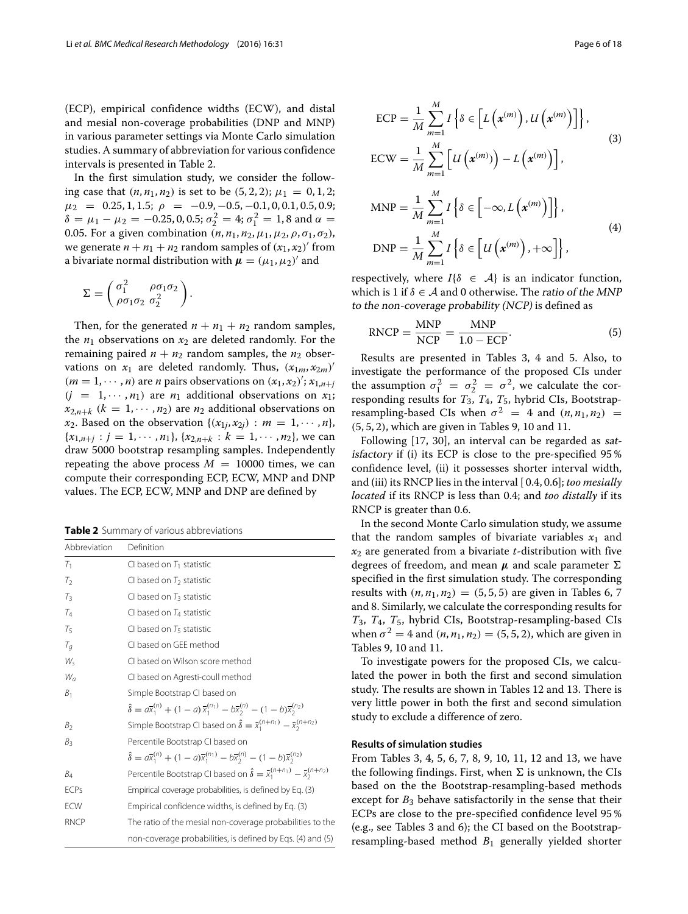(ECP), empirical confidence widths (ECW), and distal and mesial non-coverage probabilities (DNP and MNP) in various parameter settings via Monte Carlo simulation studies. A summary of abbreviation for various confidence intervals is presented in Table [2.](#page-5-0)

In the first simulation study, we consider the following case that  $(n, n_1, n_2)$  is set to be  $(5, 2, 2); \mu_1 = 0, 1, 2;$  $\mu_2 = 0.25, 1, 1.5; \rho = -0.9, -0.5, -0.1, 0, 0.1, 0.5, 0.9;$  $δ = μ<sub>1</sub> - μ<sub>2</sub> = -0.25, 0, 0.5; σ<sub>2</sub><sup>2</sup> = 4; σ<sub>1</sub><sup>2</sup> = 1, 8 and α =$ 0.05. For a given combination  $(n, n_1, n_2, \mu_1, \mu_2, \rho, \sigma_1, \sigma_2)$ , we generate  $n + n_1 + n_2$  random samples of  $(x_1, x_2)$ ' from a bivariate normal distribution with  $\mu = (\mu_1, \mu_2)'$  and

$$
\Sigma = \begin{pmatrix} \sigma_1^2 & \rho \sigma_1 \sigma_2 \\ \rho \sigma_1 \sigma_2 & \sigma_2^2 \end{pmatrix}.
$$

Then, for the generated  $n + n_1 + n_2$  random samples, the  $n_1$  observations on  $x_2$  are deleted randomly. For the remaining paired  $n + n_2$  random samples, the  $n_2$  observations on  $x_1$  are deleted randomly. Thus,  $(x_{1m}, x_{2m})'$  $(m = 1, \dots, n)$  are *n* pairs observations on  $(x_1, x_2)$ ;  $x_{1,n+j}$  $(j = 1, \dots, n_1)$  are  $n_1$  additional observations on  $x_1$ ;  $x_{2,n+k}$  ( $k = 1, \dots, n_2$ ) are  $n_2$  additional observations on *x*<sub>2</sub>. Based on the observation  $\{(x_{1j}, x_{2j}) : m = 1, \dots, n\}$ ,  ${x_{1,n+j}: j = 1, \cdots, n_1}, {x_{2,n+k}: k = 1, \cdots, n_2},$  we can draw 5000 bootstrap resampling samples. Independently repeating the above process  $M = 10000$  times, we can compute their corresponding ECP, ECW, MNP and DNP values. The ECP, ECW, MNP and DNP are defined by

<span id="page-5-0"></span>**Table 2** Summary of various abbreviations

| Abbreviation   | Definition                                                                                                                 |
|----------------|----------------------------------------------------------------------------------------------------------------------------|
| T <sub>1</sub> | CI based on $T_1$ statistic                                                                                                |
| Т2             | CI based on $T_2$ statistic                                                                                                |
| $T_3$          | CI based on $T_3$ statistic                                                                                                |
| Tд             | CI based on $T_4$ statistic                                                                                                |
| Tς             | CI based on $T5$ statistic                                                                                                 |
| $T_q$          | CI based on GEE method                                                                                                     |
| W.             | CI based on Wilson score method                                                                                            |
| $W_a$          | CI based on Agresti-coull method                                                                                           |
| B <sub>1</sub> | Simple Bootstrap CI based on                                                                                               |
|                | $\hat{\delta} = a\overline{x}_1^{(n)} + (1-a)\overline{x}_1^{(n_1)} - b\overline{x}_2^{(n)} - (1-b)\overline{x}_2^{(n_2)}$ |
| В2             | Simple Bootstrap CI based on $\hat{\delta} = \bar{x}_1^{(n+n_1)} - \bar{x}_2^{(n+n_2)}$                                    |
| $B_3$          | Percentile Bootstrap CI based on                                                                                           |
|                | $\hat{\delta} = a\overline{x}_1^{(n)} + (1-a)\overline{x}_1^{(n)} - b\overline{x}_2^{(n)} - (1-b)\overline{x}_2^{(n)}$     |
| Ba             | Percentile Bootstrap CI based on $\hat{\delta} = \bar{x}_1^{(n+n_1)} - \bar{x}_2^{(n+n_2)}$                                |
| <b>ECPs</b>    | Empirical coverage probabilities, is defined by Eq. (3)                                                                    |
| <b>ECW</b>     | Empirical confidence widths, is defined by Eq. (3)                                                                         |
| <b>RNCP</b>    | The ratio of the mesial non-coverage probabilities to the                                                                  |
|                | non-coverage probabilities, is defined by Eqs. (4) and (5)                                                                 |

<span id="page-5-1"></span>
$$
ECP = \frac{1}{M} \sum_{m=1}^{M} I\left\{\delta \in \left[L\left(\mathbf{x}^{(m)}\right), U\left(\mathbf{x}^{(m)}\right)\right]\right\},\tag{3}
$$
\n
$$
ECW = \frac{1}{M} \sum_{m=1}^{M} \left[U\left(\mathbf{x}^{(m)}\right) - L\left(\mathbf{x}^{(m)}\right)\right],\tag{3}
$$
\n
$$
MNP = \frac{1}{M} \sum_{m=1}^{M} I\left\{\delta \in \left[-\infty, L\left(\mathbf{x}^{(m)}\right)\right]\right\},\tag{4}
$$
\n
$$
DNP = \frac{1}{M} \sum_{m=1}^{M} I\left\{\delta \in \left[U\left(\mathbf{x}^{(m)}\right), +\infty\right]\right\},\tag{4}
$$

respectively, where  $I\{\delta \in \mathcal{A}\}\$ is an indicator function, which is 1 if  $\delta \in A$  and 0 otherwise. The ratio of the MNP to the non-coverage probability (NCP) is defined as

<span id="page-5-2"></span>
$$
RNCP = \frac{MNP}{NCP} = \frac{MNP}{1.0 - ECP}.
$$
 (5)

Results are presented in Tables [3,](#page-6-0) [4](#page-7-0) and [5.](#page-8-0) Also, to investigate the performance of the proposed CIs under the assumption  $\sigma_1^2 = \sigma_2^2 = \sigma^2$ , we calculate the corresponding results for *T*3, *T*4, *T*5, hybrid CIs, Bootstrapresampling-based CIs when  $\sigma^2 = 4$  and  $(n, n_1, n_2) =$ (5, 5, 2), which are given in Tables [9,](#page-12-0) [10](#page-13-0) and [11.](#page-14-0)

Following [\[17,](#page-17-25) [30\]](#page-17-26), an interval can be regarded as satisfactory if (i) its ECP is close to the pre-specified 95 % confidence level, (ii) it possesses shorter interval width, and (iii) its RNCP lies in the interval [ 0.4, 0.6]; *too mesially located* if its RNCP is less than 0.4; and *too distally* if its RNCP is greater than 0.6.

In the second Monte Carlo simulation study, we assume that the random samples of bivariate variables  $x_1$  and *x*<sup>2</sup> are generated from a bivariate *t*-distribution with five degrees of freedom, and mean *μ* and scale parameter specified in the first simulation study. The corresponding results with  $(n, n_1, n_2) = (5, 5, 5)$  are given in Tables [6,](#page-9-0) [7](#page-10-0) and [8.](#page-11-0) Similarly, we calculate the corresponding results for *T*3, *T*4, *T*5, hybrid CIs, Bootstrap-resampling-based CIs when  $\sigma^2 = 4$  and  $(n, n_1, n_2) = (5, 5, 2)$ , which are given in Tables [9,](#page-12-0) [10](#page-13-0) and [11.](#page-14-0)

To investigate powers for the proposed CIs, we calculated the power in both the first and second simulation study. The results are shown in Tables [12](#page-15-0) and [13.](#page-16-1) There is very little power in both the first and second simulation study to exclude a difference of zero.

## **Results of simulation studies**

From Tables [3,](#page-6-0) [4,](#page-7-0) [5,](#page-8-0) [6,](#page-9-0) [7,](#page-10-0) [8,](#page-11-0) [9,](#page-12-0) [10,](#page-13-0) [11,](#page-14-0) [12](#page-15-0) and [13,](#page-16-1) we have the following findings. First, when  $\Sigma$  is unknown, the CIs based on the the Bootstrap-resampling-based methods except for  $B_3$  behave satisfactorily in the sense that their ECPs are close to the pre-specified confidence level 95 % (e.g., see Tables [3](#page-6-0) and [6\)](#page-9-0); the CI based on the Bootstrapresampling-based method *B*<sup>1</sup> generally yielded shorter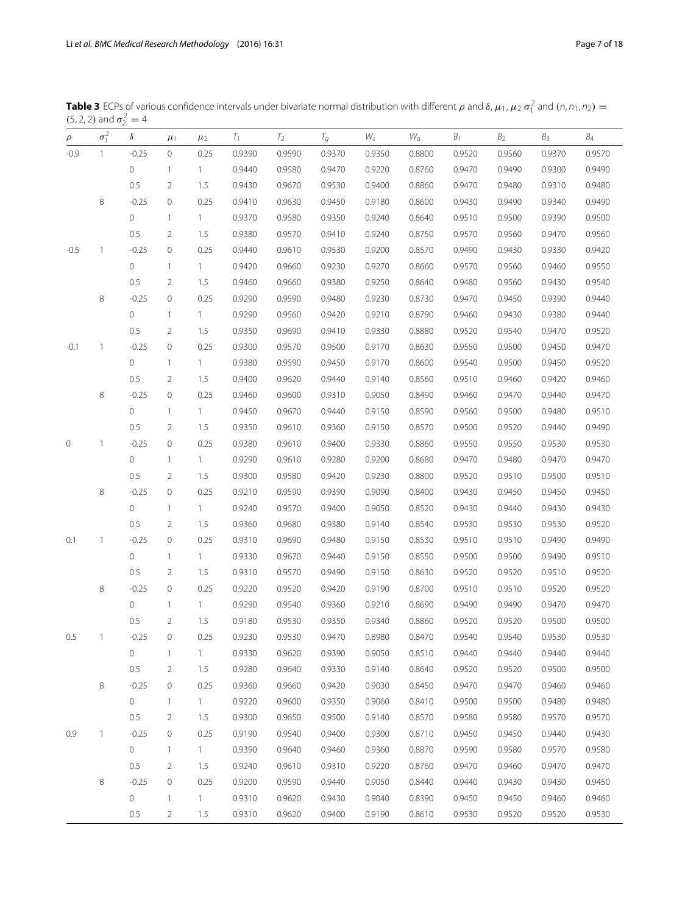<span id="page-6-0"></span>**Table 3** ECPs of various confidence intervals under bivariate normal distribution with different  $\rho$  and  $\delta$ ,  $\mu_1$ ,  $\mu_2$   $\sigma_1^2$  and  $(n, n_1, n_2)$  =  $(5, 2, 2)$  and  $\sigma_2^2 = 4$ 

| $\rho$ | $\sigma_1^2$ | δ           | $\mu_1$             | $\mu_2$      | $T_{1}$ | $T_2$  | $T_g$  | $W_{\mathsf{s}}$ | $W_a$  | B <sub>1</sub> | B <sub>2</sub> | $B_3$  | $B_4$  |
|--------|--------------|-------------|---------------------|--------------|---------|--------|--------|------------------|--------|----------------|----------------|--------|--------|
| $-0.9$ | 1            | $-0.25$     | 0                   | 0.25         | 0.9390  | 0.9590 | 0.9370 | 0.9350           | 0.8800 | 0.9520         | 0.9560         | 0.9370 | 0.9570 |
|        |              | 0           | $\mathbf{1}$        | 1            | 0.9440  | 0.9580 | 0.9470 | 0.9220           | 0.8760 | 0.9470         | 0.9490         | 0.9300 | 0.9490 |
|        |              | 0.5         | 2                   | 1.5          | 0.9430  | 0.9670 | 0.9530 | 0.9400           | 0.8860 | 0.9470         | 0.9480         | 0.9310 | 0.9480 |
|        | 8            | $-0.25$     | $\circ$             | 0.25         | 0.9410  | 0.9630 | 0.9450 | 0.9180           | 0.8600 | 0.9430         | 0.9490         | 0.9340 | 0.9490 |
|        |              | $\mathbf 0$ | $\mathbf{1}$        | $\mathbf{1}$ | 0.9370  | 0.9580 | 0.9350 | 0.9240           | 0.8640 | 0.9510         | 0.9500         | 0.9390 | 0.9500 |
|        |              | 0.5         | $\overline{2}$      | 1.5          | 0.9380  | 0.9570 | 0.9410 | 0.9240           | 0.8750 | 0.9570         | 0.9560         | 0.9470 | 0.9560 |
| $-0.5$ | 1            | $-0.25$     | 0                   | 0.25         | 0.9440  | 0.9610 | 0.9530 | 0.9200           | 0.8570 | 0.9490         | 0.9430         | 0.9330 | 0.9420 |
|        |              | 0           | $\mathbf{1}$        | 1.           | 0.9420  | 0.9660 | 0.9230 | 0.9270           | 0.8660 | 0.9570         | 0.9560         | 0.9460 | 0.9550 |
|        |              | 0.5         | $\overline{2}$      | 1.5          | 0.9460  | 0.9660 | 0.9380 | 0.9250           | 0.8640 | 0.9480         | 0.9560         | 0.9430 | 0.9540 |
|        | 8            | $-0.25$     | $\circ$             | 0.25         | 0.9290  | 0.9590 | 0.9480 | 0.9230           | 0.8730 | 0.9470         | 0.9450         | 0.9390 | 0.9440 |
|        |              | $\mathbf 0$ | $\mathbf{1}$        | $\mathbf{1}$ | 0.9290  | 0.9560 | 0.9420 | 0.9210           | 0.8790 | 0.9460         | 0.9430         | 0.9380 | 0.9440 |
|        |              | 0.5         | $\overline{2}$      | 1.5          | 0.9350  | 0.9690 | 0.9410 | 0.9330           | 0.8880 | 0.9520         | 0.9540         | 0.9470 | 0.9520 |
| $-0.1$ | 1            | $-0.25$     | 0                   | 0.25         | 0.9300  | 0.9570 | 0.9500 | 0.9170           | 0.8630 | 0.9550         | 0.9500         | 0.9450 | 0.9470 |
|        |              | 0           | $\mathbf{1}$        | 1.           | 0.9380  | 0.9590 | 0.9450 | 0.9170           | 0.8600 | 0.9540         | 0.9500         | 0.9450 | 0.9520 |
|        |              | 0.5         | $\overline{2}$      | 1.5          | 0.9400  | 0.9620 | 0.9440 | 0.9140           | 0.8560 | 0.9510         | 0.9460         | 0.9420 | 0.9460 |
|        | 8            | $-0.25$     | 0                   | 0.25         | 0.9460  | 0.9600 | 0.9310 | 0.9050           | 0.8490 | 0.9460         | 0.9470         | 0.9440 | 0.9470 |
|        |              | 0           | $\mathbf{1}$        | $\mathbf{1}$ | 0.9450  | 0.9670 | 0.9440 | 0.9150           | 0.8590 | 0.9560         | 0.9500         | 0.9480 | 0.9510 |
|        |              | 0.5         | 2                   | 1.5          | 0.9350  | 0.9610 | 0.9360 | 0.9150           | 0.8570 | 0.9500         | 0.9520         | 0.9440 | 0.9490 |
| 0      | $\mathbf{1}$ | $-0.25$     | 0                   | 0.25         | 0.9380  | 0.9610 | 0.9400 | 0.9330           | 0.8860 | 0.9550         | 0.9550         | 0.9530 | 0.9530 |
|        |              | 0           | $\mathbf{1}$        | $\mathbf{1}$ | 0.9290  | 0.9610 | 0.9280 | 0.9200           | 0.8680 | 0.9470         | 0.9480         | 0.9470 | 0.9470 |
|        |              | 0.5         | $\overline{2}$      | 1.5          | 0.9300  | 0.9580 | 0.9420 | 0.9230           | 0.8800 | 0.9520         | 0.9510         | 0.9500 | 0.9510 |
|        | 8            | $-0.25$     | $\circ$             | 0.25         | 0.9210  | 0.9590 | 0.9390 | 0.9090           | 0.8400 | 0.9430         | 0.9450         | 0.9450 | 0.9450 |
|        |              | 0           | $\mathbf{1}$        | $\mathbf{1}$ | 0.9240  | 0.9570 | 0.9400 | 0.9050           | 0.8520 | 0.9430         | 0.9440         | 0.9430 | 0.9430 |
|        |              | 0.5         | 2                   | 1.5          | 0.9360  | 0.9680 | 0.9380 | 0.9140           | 0.8540 | 0.9530         | 0.9530         | 0.9530 | 0.9520 |
| 0.1    | $\mathbf{1}$ | $-0.25$     | $\circ$             | 0.25         | 0.9310  | 0.9690 | 0.9480 | 0.9150           | 0.8530 | 0.9510         | 0.9510         | 0.9490 | 0.9490 |
|        |              | 0           | $\mathbf{1}$        | $\mathbf{1}$ | 0.9330  | 0.9670 | 0.9440 | 0.9150           | 0.8550 | 0.9500         | 0.9500         | 0.9490 | 0.9510 |
|        |              | 0.5         | $\overline{2}$      | 1.5          | 0.9310  | 0.9570 | 0.9490 | 0.9150           | 0.8630 | 0.9520         | 0.9520         | 0.9510 | 0.9520 |
|        | 8            | $-0.25$     | 0                   | 0.25         | 0.9220  | 0.9520 | 0.9420 | 0.9190           | 0.8700 | 0.9510         | 0.9510         | 0.9520 | 0.9520 |
|        |              | 0           | $\mathbf{1}$        | $\mathbf{1}$ | 0.9290  | 0.9540 | 0.9360 | 0.9210           | 0.8690 | 0.9490         | 0.9490         | 0.9470 | 0.9470 |
|        |              | 0.5         | 2                   | 1.5          | 0.9180  | 0.9530 | 0.9350 | 0.9340           | 0.8860 | 0.9520         | 0.9520         | 0.9500 | 0.9500 |
| 0.5    | 1            | $-0.25$     | $\mathbf 0$         | 0.25         | 0.9230  | 0.9530 | 0.9470 | 0.8980           | 0.8470 | 0.9540         | 0.9540         | 0.9530 | 0.9530 |
|        |              | 0           | $\mathbf{1}$        | $\mathbf{1}$ | 0.9330  | 0.9620 | 0.9390 | 0.9050           | 0.8510 | 0.9440         | 0.9440         | 0.9440 | 0.9440 |
|        |              | 0.5         | $\overline{2}$      | 1.5          | 0.9280  | 0.9640 | 0.9330 | 0.9140           | 0.8640 | 0.9520         | 0.9520         | 0.9500 | 0.9500 |
|        | 8            | $-0.25$     | $\mathsf{O}\xspace$ | 0.25         | 0.9360  | 0.9660 | 0.9420 | 0.9030           | 0.8450 | 0.9470         | 0.9470         | 0.9460 | 0.9460 |
|        |              | 0           | $\mathbf{1}$        | $\mathbf{1}$ | 0.9220  | 0.9600 | 0.9350 | 0.9060           | 0.8410 | 0.9500         | 0.9500         | 0.9480 | 0.9480 |
|        |              | 0.5         | 2                   | 1.5          | 0.9300  | 0.9650 | 0.9500 | 0.9140           | 0.8570 | 0.9580         | 0.9580         | 0.9570 | 0.9570 |
| 0.9    | $\mathbf{1}$ | $-0.25$     | $\mathsf{O}\xspace$ | 0.25         | 0.9190  | 0.9540 | 0.9400 | 0.9300           | 0.8710 | 0.9450         | 0.9450         | 0.9440 | 0.9430 |
|        |              | 0           | $\mathbf{1}$        | $\mathbf{1}$ | 0.9390  | 0.9640 | 0.9460 | 0.9360           | 0.8870 | 0.9590         | 0.9580         | 0.9570 | 0.9580 |
|        |              | 0.5         | $\overline{2}$      | 1.5          | 0.9240  | 0.9610 | 0.9310 | 0.9220           | 0.8760 | 0.9470         | 0.9460         | 0.9470 | 0.9470 |
|        | 8            | $-0.25$     | 0                   | 0.25         | 0.9200  | 0.9590 | 0.9440 | 0.9050           | 0.8440 | 0.9440         | 0.9430         | 0.9430 | 0.9450 |
|        |              | 0           | $\mathbf{1}$        | 1.           | 0.9310  | 0.9620 | 0.9430 | 0.9040           | 0.8390 | 0.9450         | 0.9450         | 0.9460 | 0.9460 |
|        |              | 0.5         | $\overline{2}$      | 1.5          | 0.9310  | 0.9620 | 0.9400 | 0.9190           | 0.8610 | 0.9530         | 0.9520         | 0.9520 | 0.9530 |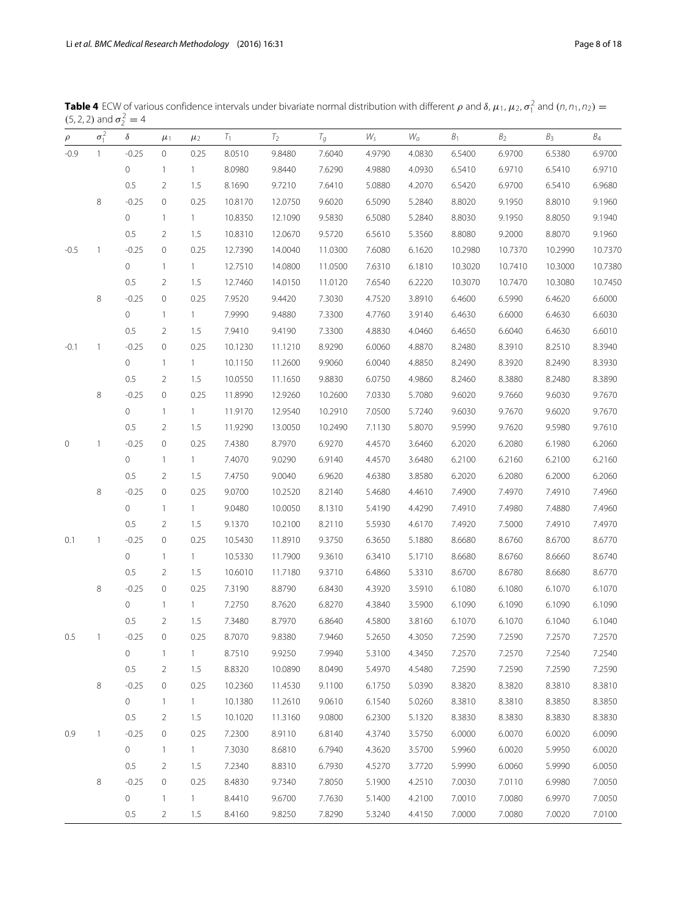<span id="page-7-0"></span>**Table 4** ECW of various confidence intervals under bivariate normal distribution with different  $\rho$  and  $\delta$ ,  $\mu_1$ ,  $\mu_2$ ,  $\sigma_1^2$  and  $(n, n_1, n_2)$  =  $(5, 2, 2)$  and  $\sigma_2^2 = 4$ 

| $\rho$ | $\sigma_1^2$             | $\delta$            | $\mu_1$             | $\mu_2$        | $T_1$   | T <sub>2</sub> | $T_g$   | $W_{\sf s}$ | $W_a$  | B <sub>1</sub> | $\mathcal{B}_2$ | B <sub>3</sub> | $\mathcal{B}_4$ |
|--------|--------------------------|---------------------|---------------------|----------------|---------|----------------|---------|-------------|--------|----------------|-----------------|----------------|-----------------|
| $-0.9$ | $\mathbf{1}$             | $-0.25$             | 0                   | 0.25           | 8.0510  | 9.8480         | 7.6040  | 4.9790      | 4.0830 | 6.5400         | 6.9700          | 6.5380         | 6.9700          |
|        |                          | $\circ$             | $\mathbf{1}$        | $\overline{1}$ | 8.0980  | 9.8440         | 7.6290  | 4.9880      | 4.0930 | 6.5410         | 6.9710          | 6.5410         | 6.9710          |
|        |                          | 0.5                 | 2                   | 1.5            | 8.1690  | 9.7210         | 7.6410  | 5.0880      | 4.2070 | 6.5420         | 6.9700          | 6.5410         | 6.9680          |
|        | 8                        | $-0.25$             | $\mathsf{O}\xspace$ | 0.25           | 10.8170 | 12.0750        | 9.6020  | 6.5090      | 5.2840 | 8.8020         | 9.1950          | 8.8010         | 9.1960          |
|        |                          | 0                   | $\mathbf{1}$        | $\mathbf{1}$   | 10.8350 | 12.1090        | 9.5830  | 6.5080      | 5.2840 | 8.8030         | 9.1950          | 8.8050         | 9.1940          |
|        |                          | 0.5                 | 2                   | 1.5            | 10.8310 | 12.0670        | 9.5720  | 6.5610      | 5.3560 | 8.8080         | 9.2000          | 8.8070         | 9.1960          |
| $-0.5$ | $\overline{\phantom{a}}$ | $-0.25$             | $\mathsf{O}\xspace$ | 0.25           | 12.7390 | 14.0040        | 11.0300 | 7.6080      | 6.1620 | 10.2980        | 10.7370         | 10.2990        | 10.7370         |
|        |                          | 0                   | $\mathbf{1}$        | $\mathbf{1}$   | 12.7510 | 14.0800        | 11.0500 | 7.6310      | 6.1810 | 10.3020        | 10.7410         | 10.3000        | 10.7380         |
|        |                          | 0.5                 | $\overline{2}$      | 1.5            | 12.7460 | 14.0150        | 11.0120 | 7.6540      | 6.2220 | 10.3070        | 10.7470         | 10.3080        | 10.7450         |
|        | 8                        | $-0.25$             | 0                   | 0.25           | 7.9520  | 9.4420         | 7.3030  | 4.7520      | 3.8910 | 6.4600         | 6.5990          | 6.4620         | 6.6000          |
|        |                          | 0                   | $\mathbf{1}$        | $\mathbf{1}$   | 7.9990  | 9.4880         | 7.3300  | 4.7760      | 3.9140 | 6.4630         | 6.6000          | 6.4630         | 6.6030          |
|        |                          | 0.5                 | $\overline{2}$      | 1.5            | 7.9410  | 9.4190         | 7.3300  | 4.8830      | 4.0460 | 6.4650         | 6.6040          | 6.4630         | 6.6010          |
| $-0.1$ | 1                        | $-0.25$             | 0                   | 0.25           | 10.1230 | 11.1210        | 8.9290  | 6.0060      | 4.8870 | 8.2480         | 8.3910          | 8.2510         | 8.3940          |
|        |                          | 0                   | $\mathbf{1}$        | $\mathbf{1}$   | 10.1150 | 11.2600        | 9.9060  | 6.0040      | 4.8850 | 8.2490         | 8.3920          | 8.2490         | 8.3930          |
|        |                          | 0.5                 | $\overline{2}$      | 1.5            | 10.0550 | 11.1650        | 9.8830  | 6.0750      | 4.9860 | 8.2460         | 8.3880          | 8.2480         | 8.3890          |
|        | 8                        | $-0.25$             | $\mathsf{O}\xspace$ | 0.25           | 11.8990 | 12.9260        | 10.2600 | 7.0330      | 5.7080 | 9.6020         | 9.7660          | 9.6030         | 9.7670          |
|        |                          | 0                   | $\mathbf{1}$        | $\mathbf{1}$   | 11.9170 | 12.9540        | 10.2910 | 7.0500      | 5.7240 | 9.6030         | 9.7670          | 9.6020         | 9.7670          |
|        |                          | 0.5                 | $\overline{2}$      | 1.5            | 11.9290 | 13.0050        | 10.2490 | 7.1130      | 5.8070 | 9.5990         | 9.7620          | 9.5980         | 9.7610          |
| 0      | 1                        | $-0.25$             | $\mathsf{O}\xspace$ | 0.25           | 7.4380  | 8.7970         | 6.9270  | 4.4570      | 3.6460 | 6.2020         | 6.2080          | 6.1980         | 6.2060          |
|        |                          | $\circ$             | $\mathbf{1}$        | $\mathbf{1}$   | 7.4070  | 9.0290         | 6.9140  | 4.4570      | 3.6480 | 6.2100         | 6.2160          | 6.2100         | 6.2160          |
|        |                          | 0.5                 | $\overline{2}$      | 1.5            | 7.4750  | 9.0040         | 6.9620  | 4.6380      | 3.8580 | 6.2020         | 6.2080          | 6.2000         | 6.2060          |
|        | 8                        | $-0.25$             | $\mathsf{O}\xspace$ | 0.25           | 9.0700  | 10.2520        | 8.2140  | 5.4680      | 4.4610 | 7.4900         | 7.4970          | 7.4910         | 7.4960          |
|        |                          | 0                   | $\mathbf{1}$        | $\mathbf{1}$   | 9.0480  | 10.0050        | 8.1310  | 5.4190      | 4.4290 | 7.4910         | 7.4980          | 7.4880         | 7.4960          |
|        |                          | 0.5                 | 2                   | 1.5            | 9.1370  | 10.2100        | 8.2110  | 5.5930      | 4.6170 | 7.4920         | 7.5000          | 7.4910         | 7.4970          |
| 0.1    | $\mathbf{1}$             | $-0.25$             | $\mathsf{O}\xspace$ | 0.25           | 10.5430 | 11.8910        | 9.3750  | 6.3650      | 5.1880 | 8.6680         | 8.6760          | 8.6700         | 8.6770          |
|        |                          | $\circ$             | $\mathbf{1}$        | $\mathbf{1}$   | 10.5330 | 11.7900        | 9.3610  | 6.3410      | 5.1710 | 8.6680         | 8.6760          | 8.6660         | 8.6740          |
|        |                          | 0.5                 | $\overline{2}$      | 1.5            | 10.6010 | 11.7180        | 9.3710  | 6.4860      | 5.3310 | 8.6700         | 8.6780          | 8.6680         | 8.6770          |
|        | 8                        | $-0.25$             | $\mathsf{O}\xspace$ | 0.25           | 7.3190  | 8.8790         | 6.8430  | 4.3920      | 3.5910 | 6.1080         | 6.1080          | 6.1070         | 6.1070          |
|        |                          | 0                   | $\mathbf{1}$        | $\mathbf{1}$   | 7.2750  | 8.7620         | 6.8270  | 4.3840      | 3.5900 | 6.1090         | 6.1090          | 6.1090         | 6.1090          |
|        |                          | 0.5                 | 2                   | 1.5            | 7.3480  | 8.7970         | 6.8640  | 4.5800      | 3.8160 | 6.1070         | 6.1070          | 6.1040         | 6.1040          |
| 0.5    | $\mathbf{1}$             | $-0.25$             | 0                   | 0.25           | 8.7070  | 9.8380         | 7.9460  | 5.2650      | 4.3050 | 7.2590         | 7.2590          | 7.2570         | 7.2570          |
|        |                          | $\mathsf{O}\xspace$ | $\mathbf{1}$        | $\mathbf{1}$   | 8.7510  | 9.9250         | 7.9940  | 5.3100      | 4.3450 | 7.2570         | 7.2570          | 7.2540         | 7.2540          |
|        |                          | 0.5                 | $\overline{2}$      | 1.5            | 8.8320  | 10.0890        | 8.0490  | 5.4970      | 4.5480 | 7.2590         | 7.2590          | 7.2590         | 7.2590          |
|        | 8                        | $-0.25$             | $\mathsf{O}\xspace$ | 0.25           | 10.2360 | 11.4530        | 9.1100  | 6.1750      | 5.0390 | 8.3820         | 8.3820          | 8.3810         | 8.3810          |
|        |                          | 0                   | $\mathbf{1}$        | $\mathbf{1}$   | 10.1380 | 11.2610        | 9.0610  | 6.1540      | 5.0260 | 8.3810         | 8.3810          | 8.3850         | 8.3850          |
|        |                          | 0.5                 | $\overline{2}$      | 1.5            | 10.1020 | 11.3160        | 9.0800  | 6.2300      | 5.1320 | 8.3830         | 8.3830          | 8.3830         | 8.3830          |
| 0.9    | $\mathbf{1}$             | $-0.25$             | $\mathsf{O}\xspace$ | 0.25           | 7.2300  | 8.9110         | 6.8140  | 4.3740      | 3.5750 | 6.0000         | 6.0070          | 6.0020         | 6.0090          |
|        |                          | $\circ$             | $\mathbf{1}$        | $\mathbf{1}$   | 7.3030  | 8.6810         | 6.7940  | 4.3620      | 3.5700 | 5.9960         | 6.0020          | 5.9950         | 6.0020          |
|        |                          | 0.5                 | 2                   | 1.5            | 7.2340  | 8.8310         | 6.7930  | 4.5270      | 3.7720 | 5.9990         | 6.0060          | 5.9990         | 6.0050          |
|        | 8                        | $-0.25$             | 0                   | 0.25           | 8.4830  | 9.7340         | 7.8050  | 5.1900      | 4.2510 | 7.0030         | 7.0110          | 6.9980         | 7.0050          |
|        |                          | 0                   | $\mathbf{1}$        | $\mathbf{1}$   | 8.4410  | 9.6700         | 7.7630  | 5.1400      | 4.2100 | 7.0010         | 7.0080          | 6.9970         | 7.0050          |
|        |                          | 0.5                 | 2                   | 1.5            | 8.4160  | 9.8250         | 7.8290  | 5.3240      | 4.4150 | 7.0000         | 7.0080          | 7.0020         | 7.0100          |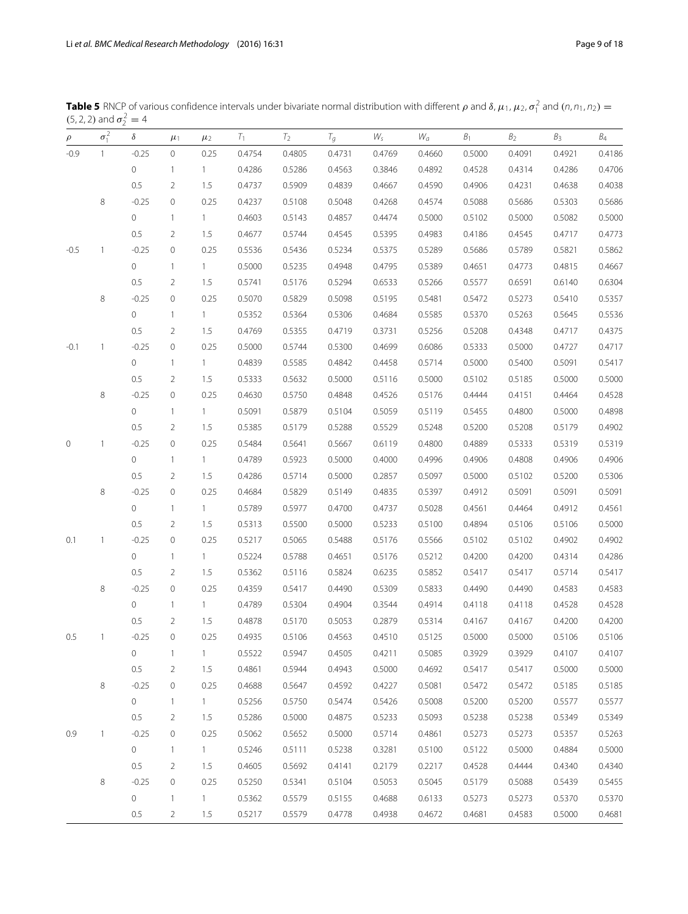<span id="page-8-0"></span>

| <b>Table 5</b> RNCP of various confidence intervals under bivariate normal distribution with different $\rho$ and $\delta$ , $\mu_1$ , $\mu_2$ , $\sigma_1^2$ and $(n, n_1, n_2)$ = |  |
|-------------------------------------------------------------------------------------------------------------------------------------------------------------------------------------|--|
| $(5, 2, 2)$ and $\sigma_2^2 = 4$                                                                                                                                                    |  |

| $\rho$  | $\sigma_1^2$ | $\delta$ | $\mu_1$             | $\mu_2$      | $T_1$  | $T_2$  | $T_g$  | $W_{S}$ | $W_a$  | $\mathcal{B}_1$ | B <sub>2</sub> | B <sub>3</sub> | $\mathcal{B}_4$ |
|---------|--------------|----------|---------------------|--------------|--------|--------|--------|---------|--------|-----------------|----------------|----------------|-----------------|
| $-0.9$  | $\mathbf{1}$ | $-0.25$  | $\circ$             | 0.25         | 0.4754 | 0.4805 | 0.4731 | 0.4769  | 0.4660 | 0.5000          | 0.4091         | 0.4921         | 0.4186          |
|         |              | 0        | $\mathbf{1}$        | $\mathbf{1}$ | 0.4286 | 0.5286 | 0.4563 | 0.3846  | 0.4892 | 0.4528          | 0.4314         | 0.4286         | 0.4706          |
|         |              | 0.5      | $\overline{2}$      | 1.5          | 0.4737 | 0.5909 | 0.4839 | 0.4667  | 0.4590 | 0.4906          | 0.4231         | 0.4638         | 0.4038          |
|         | $\,8\,$      | $-0.25$  | $\mathsf{O}\xspace$ | 0.25         | 0.4237 | 0.5108 | 0.5048 | 0.4268  | 0.4574 | 0.5088          | 0.5686         | 0.5303         | 0.5686          |
|         |              | 0        | $\mathbf{1}$        | $\mathbf{1}$ | 0.4603 | 0.5143 | 0.4857 | 0.4474  | 0.5000 | 0.5102          | 0.5000         | 0.5082         | 0.5000          |
|         |              | 0.5      | 2                   | 1.5          | 0.4677 | 0.5744 | 0.4545 | 0.5395  | 0.4983 | 0.4186          | 0.4545         | 0.4717         | 0.4773          |
| $-0.5$  | 1            | $-0.25$  | 0                   | 0.25         | 0.5536 | 0.5436 | 0.5234 | 0.5375  | 0.5289 | 0.5686          | 0.5789         | 0.5821         | 0.5862          |
|         |              | 0        | $\mathbf{1}$        | $\mathbf{1}$ | 0.5000 | 0.5235 | 0.4948 | 0.4795  | 0.5389 | 0.4651          | 0.4773         | 0.4815         | 0.4667          |
|         |              | 0.5      | $\overline{2}$      | 1.5          | 0.5741 | 0.5176 | 0.5294 | 0.6533  | 0.5266 | 0.5577          | 0.6591         | 0.6140         | 0.6304          |
|         | $\,8\,$      | $-0.25$  | $\mathsf{O}\xspace$ | 0.25         | 0.5070 | 0.5829 | 0.5098 | 0.5195  | 0.5481 | 0.5472          | 0.5273         | 0.5410         | 0.5357          |
|         |              | 0        | $\mathbf{1}$        | $\mathbf{1}$ | 0.5352 | 0.5364 | 0.5306 | 0.4684  | 0.5585 | 0.5370          | 0.5263         | 0.5645         | 0.5536          |
|         |              | 0.5      | $\overline{2}$      | 1.5          | 0.4769 | 0.5355 | 0.4719 | 0.3731  | 0.5256 | 0.5208          | 0.4348         | 0.4717         | 0.4375          |
| $-0.1$  | 1            | $-0.25$  | $\circ$             | 0.25         | 0.5000 | 0.5744 | 0.5300 | 0.4699  | 0.6086 | 0.5333          | 0.5000         | 0.4727         | 0.4717          |
|         |              | 0        | $\mathbf{1}$        | $\mathbf{1}$ | 0.4839 | 0.5585 | 0.4842 | 0.4458  | 0.5714 | 0.5000          | 0.5400         | 0.5091         | 0.5417          |
|         |              | 0.5      | $\overline{2}$      | 1.5          | 0.5333 | 0.5632 | 0.5000 | 0.5116  | 0.5000 | 0.5102          | 0.5185         | 0.5000         | 0.5000          |
|         | $\,8\,$      | $-0.25$  | $\mathsf{O}\xspace$ | 0.25         | 0.4630 | 0.5750 | 0.4848 | 0.4526  | 0.5176 | 0.4444          | 0.4151         | 0.4464         | 0.4528          |
|         |              | 0        | $\mathbf{1}$        | $\mathbf{1}$ | 0.5091 | 0.5879 | 0.5104 | 0.5059  | 0.5119 | 0.5455          | 0.4800         | 0.5000         | 0.4898          |
|         |              | 0.5      | 2                   | 1.5          | 0.5385 | 0.5179 | 0.5288 | 0.5529  | 0.5248 | 0.5200          | 0.5208         | 0.5179         | 0.4902          |
| $\circ$ | $\mathbf{1}$ | $-0.25$  | $\mathsf{O}\xspace$ | 0.25         | 0.5484 | 0.5641 | 0.5667 | 0.6119  | 0.4800 | 0.4889          | 0.5333         | 0.5319         | 0.5319          |
|         |              | 0        | $\mathbf{1}$        | $\mathbf{1}$ | 0.4789 | 0.5923 | 0.5000 | 0.4000  | 0.4996 | 0.4906          | 0.4808         | 0.4906         | 0.4906          |
|         |              | 0.5      | $\overline{2}$      | 1.5          | 0.4286 | 0.5714 | 0.5000 | 0.2857  | 0.5097 | 0.5000          | 0.5102         | 0.5200         | 0.5306          |
|         | 8            | $-0.25$  | $\mathsf{O}\xspace$ | 0.25         | 0.4684 | 0.5829 | 0.5149 | 0.4835  | 0.5397 | 0.4912          | 0.5091         | 0.5091         | 0.5091          |
|         |              | 0        | $\mathbf{1}$        | $\mathbf{1}$ | 0.5789 | 0.5977 | 0.4700 | 0.4737  | 0.5028 | 0.4561          | 0.4464         | 0.4912         | 0.4561          |
|         |              | 0.5      | 2                   | 1.5          | 0.5313 | 0.5500 | 0.5000 | 0.5233  | 0.5100 | 0.4894          | 0.5106         | 0.5106         | 0.5000          |
| 0.1     | $\mathbf{1}$ | $-0.25$  | $\mathsf{O}\xspace$ | 0.25         | 0.5217 | 0.5065 | 0.5488 | 0.5176  | 0.5566 | 0.5102          | 0.5102         | 0.4902         | 0.4902          |
|         |              | 0        | $\mathbf{1}$        | $\mathbf{1}$ | 0.5224 | 0.5788 | 0.4651 | 0.5176  | 0.5212 | 0.4200          | 0.4200         | 0.4314         | 0.4286          |
|         |              | 0.5      | 2                   | 1.5          | 0.5362 | 0.5116 | 0.5824 | 0.6235  | 0.5852 | 0.5417          | 0.5417         | 0.5714         | 0.5417          |
|         | 8            | $-0.25$  | $\mathsf{O}\xspace$ | 0.25         | 0.4359 | 0.5417 | 0.4490 | 0.5309  | 0.5833 | 0.4490          | 0.4490         | 0.4583         | 0.4583          |
|         |              | 0        | $\mathbf{1}$        | $\mathbf{1}$ | 0.4789 | 0.5304 | 0.4904 | 0.3544  | 0.4914 | 0.4118          | 0.4118         | 0.4528         | 0.4528          |
|         |              | 0.5      | 2                   | 1.5          | 0.4878 | 0.5170 | 0.5053 | 0.2879  | 0.5314 | 0.4167          | 0.4167         | 0.4200         | 0.4200          |
| 0.5     | 1            | $-0.25$  | $\mathsf{O}\xspace$ | 0.25         | 0.4935 | 0.5106 | 0.4563 | 0.4510  | 0.5125 | 0.5000          | 0.5000         | 0.5106         | 0.5106          |
|         |              | 0        | $\mathbf{1}$        | $\mathbf{1}$ | 0.5522 | 0.5947 | 0.4505 | 0.4211  | 0.5085 | 0.3929          | 0.3929         | 0.4107         | 0.4107          |
|         |              | 0.5      | 2                   | 1.5          | 0.4861 | 0.5944 | 0.4943 | 0.5000  | 0.4692 | 0.5417          | 0.5417         | 0.5000         | 0.5000          |
|         | 8            | $-0.25$  | $\mathsf{O}\xspace$ | 0.25         | 0.4688 | 0.5647 | 0.4592 | 0.4227  | 0.5081 | 0.5472          | 0.5472         | 0.5185         | 0.5185          |
|         |              | 0        | $\overline{1}$      | 1            | 0.5256 | 0.5750 | 0.5474 | 0.5426  | 0.5008 | 0.5200          | 0.5200         | 0.5577         | 0.5577          |
|         |              | 0.5      | 2                   | 1.5          | 0.5286 | 0.5000 | 0.4875 | 0.5233  | 0.5093 | 0.5238          | 0.5238         | 0.5349         | 0.5349          |
| 0.9     | $\mathbf{1}$ | $-0.25$  | $\mathsf{O}\xspace$ | 0.25         | 0.5062 | 0.5652 | 0.5000 | 0.5714  | 0.4861 | 0.5273          | 0.5273         | 0.5357         | 0.5263          |
|         |              | 0        | $\overline{1}$      | 1            | 0.5246 | 0.5111 | 0.5238 | 0.3281  | 0.5100 | 0.5122          | 0.5000         | 0.4884         | 0.5000          |
|         |              | 0.5      | 2                   | 1.5          | 0.4605 | 0.5692 | 0.4141 | 0.2179  | 0.2217 | 0.4528          | 0.4444         | 0.4340         | 0.4340          |
|         | $\,8\,$      | $-0.25$  | $\mathsf{O}\xspace$ | 0.25         | 0.5250 | 0.5341 | 0.5104 | 0.5053  | 0.5045 | 0.5179          | 0.5088         | 0.5439         | 0.5455          |
|         |              | 0        | $\overline{1}$      | $\mathbf{1}$ | 0.5362 | 0.5579 | 0.5155 | 0.4688  | 0.6133 | 0.5273          | 0.5273         | 0.5370         | 0.5370          |
|         |              | 0.5      | 2                   | 1.5          | 0.5217 | 0.5579 | 0.4778 | 0.4938  | 0.4672 | 0.4681          | 0.4583         | 0.5000         | 0.4681          |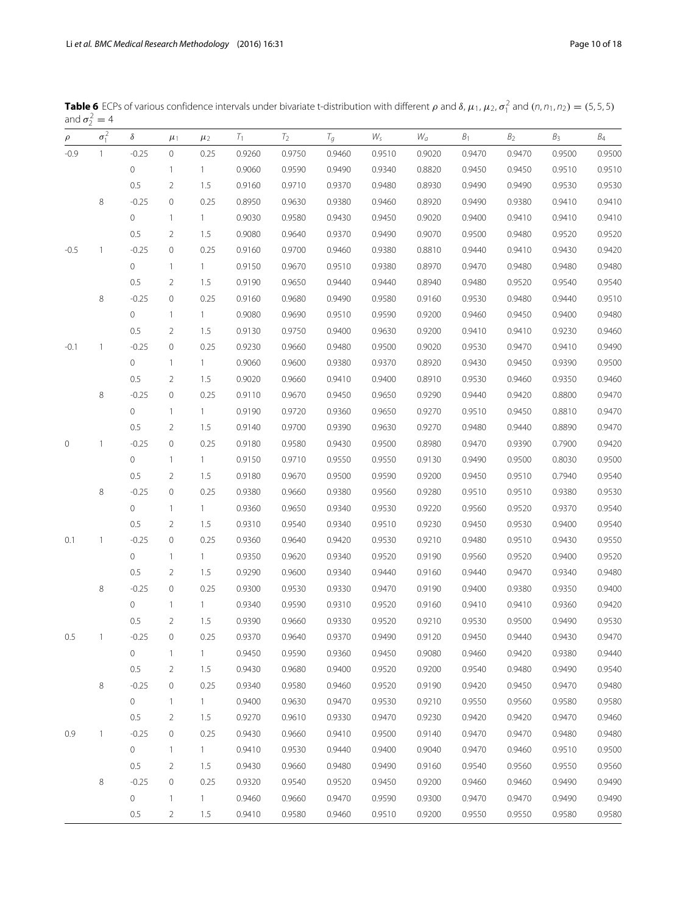| $\rho$ | $\sigma_1^2$   | $\delta$            | $\mu_1$        | $\mu_2$      | $T_1$  | $T_2$  | $T_g$  | Ws     | W <sub>a</sub> | B <sub>1</sub> | B <sub>2</sub> | $B_3$  | B <sub>4</sub> |
|--------|----------------|---------------------|----------------|--------------|--------|--------|--------|--------|----------------|----------------|----------------|--------|----------------|
| $-0.9$ | $\overline{1}$ | $-0.25$             | $\circ$        | 0.25         | 0.9260 | 0.9750 | 0.9460 | 0.9510 | 0.9020         | 0.9470         | 0.9470         | 0.9500 | 0.9500         |
|        |                | $\circ$             | $\mathbf{1}$   | $\mathbf{1}$ | 0.9060 | 0.9590 | 0.9490 | 0.9340 | 0.8820         | 0.9450         | 0.9450         | 0.9510 | 0.9510         |
|        |                | 0.5                 | $\overline{2}$ | 1.5          | 0.9160 | 0.9710 | 0.9370 | 0.9480 | 0.8930         | 0.9490         | 0.9490         | 0.9530 | 0.9530         |
|        | 8              | $-0.25$             | 0              | 0.25         | 0.8950 | 0.9630 | 0.9380 | 0.9460 | 0.8920         | 0.9490         | 0.9380         | 0.9410 | 0.9410         |
|        |                | $\circ$             | $\mathbf{1}$   | $\mathbf{1}$ | 0.9030 | 0.9580 | 0.9430 | 0.9450 | 0.9020         | 0.9400         | 0.9410         | 0.9410 | 0.9410         |
|        |                | 0.5                 | $\overline{2}$ | 1.5          | 0.9080 | 0.9640 | 0.9370 | 0.9490 | 0.9070         | 0.9500         | 0.9480         | 0.9520 | 0.9520         |
| $-0.5$ | 1              | $-0.25$             | $\circ$        | 0.25         | 0.9160 | 0.9700 | 0.9460 | 0.9380 | 0.8810         | 0.9440         | 0.9410         | 0.9430 | 0.9420         |
|        |                | $\circ$             | $\mathbf{1}$   | $\mathbf{1}$ | 0.9150 | 0.9670 | 0.9510 | 0.9380 | 0.8970         | 0.9470         | 0.9480         | 0.9480 | 0.9480         |
|        |                | 0.5                 | $\overline{2}$ | 1.5          | 0.9190 | 0.9650 | 0.9440 | 0.9440 | 0.8940         | 0.9480         | 0.9520         | 0.9540 | 0.9540         |
|        | 8              | $-0.25$             | $\mathbf 0$    | 0.25         | 0.9160 | 0.9680 | 0.9490 | 0.9580 | 0.9160         | 0.9530         | 0.9480         | 0.9440 | 0.9510         |
|        |                | $\circ$             | $\mathbf{1}$   | $\mathbf{1}$ | 0.9080 | 0.9690 | 0.9510 | 0.9590 | 0.9200         | 0.9460         | 0.9450         | 0.9400 | 0.9480         |
|        |                | 0.5                 | $\overline{2}$ | 1.5          | 0.9130 | 0.9750 | 0.9400 | 0.9630 | 0.9200         | 0.9410         | 0.9410         | 0.9230 | 0.9460         |
| $-0.1$ | 1              | $-0.25$             | 0              | 0.25         | 0.9230 | 0.9660 | 0.9480 | 0.9500 | 0.9020         | 0.9530         | 0.9470         | 0.9410 | 0.9490         |
|        |                | $\circ$             | $\mathbf{1}$   | $\mathbf{1}$ | 0.9060 | 0.9600 | 0.9380 | 0.9370 | 0.8920         | 0.9430         | 0.9450         | 0.9390 | 0.9500         |
|        |                | 0.5                 | $\overline{2}$ | 1.5          | 0.9020 | 0.9660 | 0.9410 | 0.9400 | 0.8910         | 0.9530         | 0.9460         | 0.9350 | 0.9460         |
|        | 8              | $-0.25$             | 0              | 0.25         | 0.9110 | 0.9670 | 0.9450 | 0.9650 | 0.9290         | 0.9440         | 0.9420         | 0.8800 | 0.9470         |
|        |                | $\circ$             | $\mathbf{1}$   | $1 -$        | 0.9190 | 0.9720 | 0.9360 | 0.9650 | 0.9270         | 0.9510         | 0.9450         | 0.8810 | 0.9470         |
|        |                | 0.5                 | $\overline{2}$ | 1.5          | 0.9140 | 0.9700 | 0.9390 | 0.9630 | 0.9270         | 0.9480         | 0.9440         | 0.8890 | 0.9470         |
| 0      | 1              | $-0.25$             | $\mathbf 0$    | 0.25         | 0.9180 | 0.9580 | 0.9430 | 0.9500 | 0.8980         | 0.9470         | 0.9390         | 0.7900 | 0.9420         |
|        |                | $\circ$             | $\mathbf{1}$   | $\mathbf{1}$ | 0.9150 | 0.9710 | 0.9550 | 0.9550 | 0.9130         | 0.9490         | 0.9500         | 0.8030 | 0.9500         |
|        |                | 0.5                 | $\overline{2}$ | 1.5          | 0.9180 | 0.9670 | 0.9500 | 0.9590 | 0.9200         | 0.9450         | 0.9510         | 0.7940 | 0.9540         |
|        | 8              | $-0.25$             | 0              | 0.25         | 0.9380 | 0.9660 | 0.9380 | 0.9560 | 0.9280         | 0.9510         | 0.9510         | 0.9380 | 0.9530         |
|        |                | $\circ$             | $\mathbf{1}$   | $1 -$        | 0.9360 | 0.9650 | 0.9340 | 0.9530 | 0.9220         | 0.9560         | 0.9520         | 0.9370 | 0.9540         |
|        |                | 0.5                 | $\overline{2}$ | 1.5          | 0.9310 | 0.9540 | 0.9340 | 0.9510 | 0.9230         | 0.9450         | 0.9530         | 0.9400 | 0.9540         |
| 0.1    | 1              | $-0.25$             | $\mathbf 0$    | 0.25         | 0.9360 | 0.9640 | 0.9420 | 0.9530 | 0.9210         | 0.9480         | 0.9510         | 0.9430 | 0.9550         |
|        |                | $\circ$             | $\mathbf{1}$   | $\mathbf{1}$ | 0.9350 | 0.9620 | 0.9340 | 0.9520 | 0.9190         | 0.9560         | 0.9520         | 0.9400 | 0.9520         |
|        |                | 0.5                 | $\overline{2}$ | 1.5          | 0.9290 | 0.9600 | 0.9340 | 0.9440 | 0.9160         | 0.9440         | 0.9470         | 0.9340 | 0.9480         |
|        | 8              | $-0.25$             | $\mathbf 0$    | 0.25         | 0.9300 | 0.9530 | 0.9330 | 0.9470 | 0.9190         | 0.9400         | 0.9380         | 0.9350 | 0.9400         |
|        |                | $\circ$             | $\mathbf{1}$   | $\mathbf{1}$ | 0.9340 | 0.9590 | 0.9310 | 0.9520 | 0.9160         | 0.9410         | 0.9410         | 0.9360 | 0.9420         |
|        |                | 0.5                 | $\overline{2}$ | 1.5          | 0.9390 | 0.9660 | 0.9330 | 0.9520 | 0.9210         | 0.9530         | 0.9500         | 0.9490 | 0.9530         |
| 0.5    | $\mathbf{1}$   | $-0.25$             | 0              | 0.25         | 0.9370 | 0.9640 | 0.9370 | 0.9490 | 0.9120         | 0.9450         | 0.9440         | 0.9430 | 0.9470         |
|        |                | $\mathbf 0$         | 1              | $\mathbf{1}$ | 0.9450 | 0.9590 | 0.9360 | 0.9450 | 0.9080         | 0.9460         | 0.9420         | 0.9380 | 0.9440         |
|        |                | 0.5                 | 2              | 1.5          | 0.9430 | 0.9680 | 0.9400 | 0.9520 | 0.9200         | 0.9540         | 0.9480         | 0.9490 | 0.9540         |
|        | 8              | $-0.25$             | 0              | 0.25         | 0.9340 | 0.9580 | 0.9460 | 0.9520 | 0.9190         | 0.9420         | 0.9450         | 0.9470 | 0.9480         |
|        |                | $\circ$             | $\mathbf{1}$   | $\mathbf{1}$ | 0.9400 | 0.9630 | 0.9470 | 0.9530 | 0.9210         | 0.9550         | 0.9560         | 0.9580 | 0.9580         |
|        |                | $0.5\,$             | 2              | 1.5          | 0.9270 | 0.9610 | 0.9330 | 0.9470 | 0.9230         | 0.9420         | 0.9420         | 0.9470 | 0.9460         |
| 0.9    | 1              | $-0.25$             | 0              | 0.25         | 0.9430 | 0.9660 | 0.9410 | 0.9500 | 0.9140         | 0.9470         | 0.9470         | 0.9480 | 0.9480         |
|        |                | $\circ$             | $\mathbf{1}$   | $\mathbf{1}$ | 0.9410 | 0.9530 | 0.9440 | 0.9400 | 0.9040         | 0.9470         | 0.9460         | 0.9510 | 0.9500         |
|        |                | 0.5                 | $\overline{2}$ | 1.5          | 0.9430 | 0.9660 | 0.9480 | 0.9490 | 0.9160         | 0.9540         | 0.9560         | 0.9550 | 0.9560         |
|        | 8              | $-0.25$             | 0              | 0.25         | 0.9320 | 0.9540 | 0.9520 | 0.9450 | 0.9200         | 0.9460         | 0.9460         | 0.9490 | 0.9490         |
|        |                | $\mathsf{O}\xspace$ | $\mathbf{1}$   | $\mathbf{1}$ | 0.9460 | 0.9660 | 0.9470 | 0.9590 | 0.9300         | 0.9470         | 0.9470         | 0.9490 | 0.9490         |
|        |                | $0.5\,$             | 2              | 1.5          | 0.9410 | 0.9580 | 0.9460 | 0.9510 | 0.9200         | 0.9550         | 0.9550         | 0.9580 | 0.9580         |

<span id="page-9-0"></span>**Table 6** ECPs of various confidence intervals under bivariate t-distribution with different  $\rho$  and  $\delta$ ,  $\mu_1$ ,  $\mu_2$ ,  $\sigma_1^2$  and  $(n, n_1, n_2) = (5, 5, 5)$ and  $\sigma_2^2 = 4$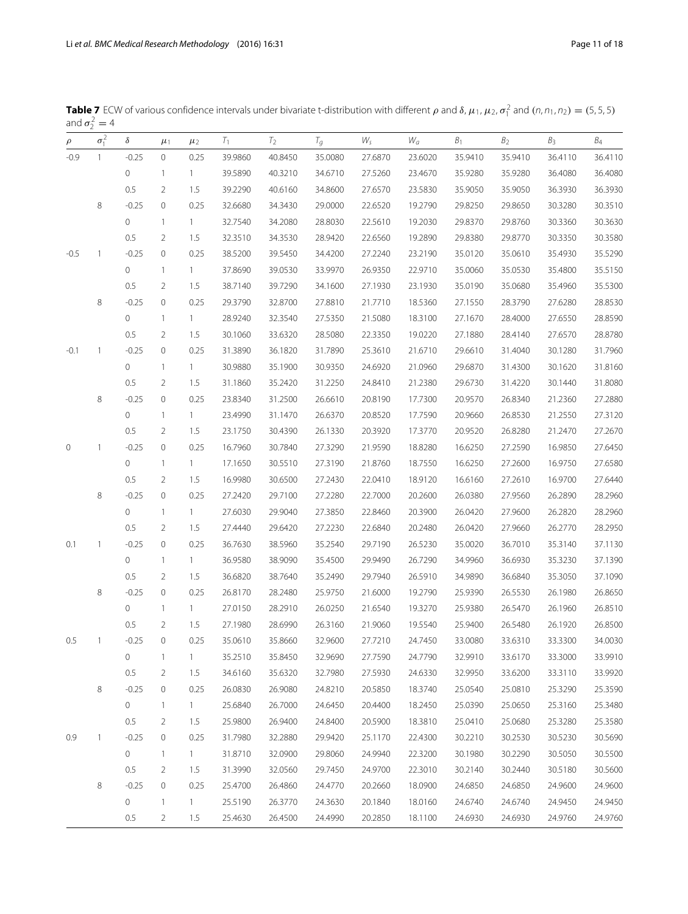| $\rho$ | $\sigma_1^2$ | $\delta$            | $\mu_1$        | $\mu_2$      | $T_1$   | $T_2$   | $T_g$   | $W_{\mathsf{s}}$ | $W_a$   | B <sub>1</sub> | B <sub>2</sub> | B <sub>3</sub> | $B_4$   |
|--------|--------------|---------------------|----------------|--------------|---------|---------|---------|------------------|---------|----------------|----------------|----------------|---------|
| $-0.9$ | $\mathbf{1}$ | $-0.25$             | 0              | 0.25         | 39.9860 | 40.8450 | 35.0080 | 27.6870          | 23.6020 | 35.9410        | 35.9410        | 36.4110        | 36.4110 |
|        |              | $\mathbf 0$         | $\mathbf{1}$   | $\mathbf{1}$ | 39.5890 | 40.3210 | 34.6710 | 27.5260          | 23.4670 | 35.9280        | 35.9280        | 36.4080        | 36.4080 |
|        |              | 0.5                 | $\overline{2}$ | 1.5          | 39.2290 | 40.6160 | 34.8600 | 27.6570          | 23.5830 | 35.9050        | 35.9050        | 36.3930        | 36.3930 |
|        | 8            | $-0.25$             | $\mathbf 0$    | 0.25         | 32.6680 | 34.3430 | 29.0000 | 22.6520          | 19.2790 | 29.8250        | 29.8650        | 30.3280        | 30.3510 |
|        |              | $\mathsf{O}\xspace$ | $\mathbf{1}$   | $\mathbf{1}$ | 32.7540 | 34.2080 | 28.8030 | 22.5610          | 19.2030 | 29.8370        | 29.8760        | 30.3360        | 30.3630 |
|        |              | 0.5                 | $\overline{2}$ | 1.5          | 32.3510 | 34.3530 | 28.9420 | 22.6560          | 19.2890 | 29.8380        | 29.8770        | 30.3350        | 30.3580 |
| $-0.5$ | $\mathbf{1}$ | $-0.25$             | $\mathbf 0$    | 0.25         | 38.5200 | 39.5450 | 34.4200 | 27.2240          | 23.2190 | 35.0120        | 35.0610        | 35.4930        | 35.5290 |
|        |              | 0                   | $\mathbf{1}$   | $\mathbf{1}$ | 37.8690 | 39.0530 | 33.9970 | 26.9350          | 22.9710 | 35.0060        | 35.0530        | 35.4800        | 35.5150 |
|        |              | 0.5                 | $\overline{2}$ | 1.5          | 38.7140 | 39.7290 | 34.1600 | 27.1930          | 23.1930 | 35.0190        | 35.0680        | 35.4960        | 35.5300 |
|        | 8            | $-0.25$             | $\mathbf 0$    | 0.25         | 29.3790 | 32.8700 | 27.8810 | 21.7710          | 18.5360 | 27.1550        | 28.3790        | 27.6280        | 28.8530 |
|        |              | $\mathsf{O}\xspace$ | $\mathbf{1}$   | $\mathbf{1}$ | 28.9240 | 32.3540 | 27.5350 | 21.5080          | 18.3100 | 27.1670        | 28.4000        | 27.6550        | 28.8590 |
|        |              | 0.5                 | $\overline{2}$ | 1.5          | 30.1060 | 33.6320 | 28.5080 | 22.3350          | 19.0220 | 27.1880        | 28.4140        | 27.6570        | 28.8780 |
| $-0.1$ | $\mathbf{1}$ | $-0.25$             | $\mathbf 0$    | 0.25         | 31.3890 | 36.1820 | 31.7890 | 25.3610          | 21.6710 | 29.6610        | 31.4040        | 30.1280        | 31.7960 |
|        |              | 0                   | $\mathbf{1}$   | $\mathbf{1}$ | 30.9880 | 35.1900 | 30.9350 | 24.6920          | 21.0960 | 29.6870        | 31.4300        | 30.1620        | 31.8160 |
|        |              | 0.5                 | $\overline{2}$ | 1.5          | 31.1860 | 35.2420 | 31.2250 | 24.8410          | 21.2380 | 29.6730        | 31.4220        | 30.1440        | 31.8080 |
|        | 8            | $-0.25$             | $\mathbf 0$    | 0.25         | 23.8340 | 31.2500 | 26.6610 | 20.8190          | 17.7300 | 20.9570        | 26.8340        | 21.2360        | 27.2880 |
|        |              | $\mathsf{O}\xspace$ | $\mathbf{1}$   | $\mathbf{1}$ | 23.4990 | 31.1470 | 26.6370 | 20.8520          | 17.7590 | 20.9660        | 26.8530        | 21.2550        | 27.3120 |
|        |              | 0.5                 | $\overline{2}$ | 1.5          | 23.1750 | 30.4390 | 26.1330 | 20.3920          | 17.3770 | 20.9520        | 26.8280        | 21.2470        | 27.2670 |
| 0      | $\mathbf{1}$ | $-0.25$             | $\mathbf 0$    | 0.25         | 16.7960 | 30.7840 | 27.3290 | 21.9590          | 18.8280 | 16.6250        | 27.2590        | 16.9850        | 27.6450 |
|        |              | 0                   | $\mathbf{1}$   | $\mathbf{1}$ | 17.1650 | 30.5510 | 27.3190 | 21.8760          | 18.7550 | 16.6250        | 27.2600        | 16.9750        | 27.6580 |
|        |              | 0.5                 | $\overline{2}$ | 1.5          | 16.9980 | 30.6500 | 27.2430 | 22.0410          | 18.9120 | 16.6160        | 27.2610        | 16.9700        | 27.6440 |
|        | 8            | $-0.25$             | $\mathbf 0$    | 0.25         | 27.2420 | 29.7100 | 27.2280 | 22.7000          | 20.2600 | 26.0380        | 27.9560        | 26.2890        | 28.2960 |
|        |              | $\mathsf{O}\xspace$ | $\mathbf{1}$   | $\mathbf{1}$ | 27.6030 | 29.9040 | 27.3850 | 22.8460          | 20.3900 | 26.0420        | 27.9600        | 26.2820        | 28.2960 |
|        |              | 0.5                 | $\overline{2}$ | 1.5          | 27.4440 | 29.6420 | 27.2230 | 22.6840          | 20.2480 | 26.0420        | 27.9660        | 26.2770        | 28.2950 |
| 0.1    | $\mathbf{1}$ | $-0.25$             | $\mathbf 0$    | 0.25         | 36.7630 | 38.5960 | 35.2540 | 29.7190          | 26.5230 | 35.0020        | 36.7010        | 35.3140        | 37.1130 |
|        |              | 0                   | $\mathbf{1}$   | $\mathbf{1}$ | 36.9580 | 38.9090 | 35.4500 | 29.9490          | 26.7290 | 34.9960        | 36.6930        | 35.3230        | 37.1390 |
|        |              | 0.5                 | $\overline{2}$ | 1.5          | 36.6820 | 38.7640 | 35.2490 | 29.7940          | 26.5910 | 34.9890        | 36.6840        | 35.3050        | 37.1090 |
|        | 8            | $-0.25$             | $\mathbf 0$    | 0.25         | 26.8170 | 28.2480 | 25.9750 | 21.6000          | 19.2790 | 25.9390        | 26.5530        | 26.1980        | 26.8650 |
|        |              | 0                   | $\mathbf{1}$   | $\mathbf{1}$ | 27.0150 | 28.2910 | 26.0250 | 21.6540          | 19.3270 | 25.9380        | 26.5470        | 26.1960        | 26.8510 |
|        |              | 0.5                 | $\overline{2}$ | 1.5          | 27.1980 | 28.6990 | 26.3160 | 21.9060          | 19.5540 | 25.9400        | 26.5480        | 26.1920        | 26.8500 |
| 0.5    | -1           | $-0.25$             | $\mathbf{0}$   | 0.25         | 35.0610 | 35.8660 | 32.9600 | 27.7210          | 24.7450 | 33.0080        | 33.6310        | 33.3300        | 34.0030 |
|        |              | $\mathbf 0$         | -1             | $\mathbf{1}$ | 35.2510 | 35.8450 | 32.9690 | 27.7590          | 24.7790 | 32.9910        | 33.6170        | 33.3000        | 33.9910 |
|        |              | 0.5                 | 2              | 1.5          | 34.6160 | 35.6320 | 32.7980 | 27.5930          | 24.6330 | 32.9950        | 33.6200        | 33.3110        | 33.9920 |
|        | 8            | $-0.25$             | 0              | 0.25         | 26.0830 | 26.9080 | 24.8210 | 20.5850          | 18.3740 | 25.0540        | 25.0810        | 25.3290        | 25.3590 |
|        |              | $\circ$             | $\mathbf{1}$   | $\mathbf{1}$ | 25.6840 | 26.7000 | 24.6450 | 20.4400          | 18.2450 | 25.0390        | 25.0650        | 25.3160        | 25.3480 |
|        |              | 0.5                 | $\overline{2}$ | 1.5          | 25.9800 | 26.9400 | 24.8400 | 20.5900          | 18.3810 | 25.0410        | 25.0680        | 25.3280        | 25.3580 |
| 0.9    | $\mathbf{1}$ | $-0.25$             | 0              | 0.25         | 31.7980 | 32.2880 | 29.9420 | 25.1170          | 22.4300 | 30.2210        | 30.2530        | 30.5230        | 30.5690 |
|        |              | 0                   | $\mathbf{1}$   | $\mathbf{1}$ | 31.8710 | 32.0900 | 29.8060 | 24.9940          | 22.3200 | 30.1980        | 30.2290        | 30.5050        | 30.5500 |
|        |              | 0.5                 | 2              | 1.5          | 31.3990 | 32.0560 | 29.7450 | 24.9700          | 22.3010 | 30.2140        | 30.2440        | 30.5180        | 30.5600 |
|        | 8            | $-0.25$             | 0              | 0.25         | 25.4700 | 26.4860 | 24.4770 | 20.2660          | 18.0900 | 24.6850        | 24.6850        | 24.9600        | 24.9600 |
|        |              | $\mathsf{O}\xspace$ | $\mathbf{1}$   | $\mathbf{1}$ | 25.5190 | 26.3770 | 24.3630 | 20.1840          | 18.0160 | 24.6740        | 24.6740        | 24.9450        | 24.9450 |
|        |              | 0.5                 | $\overline{2}$ | 1.5          | 25.4630 | 26.4500 | 24.4990 | 20.2850          | 18.1100 | 24.6930        | 24.6930        | 24.9760        | 24.9760 |

<span id="page-10-0"></span>**Table 7** ECW of various confidence intervals under bivariate t-distribution with different  $\rho$  and  $\delta$ ,  $\mu_1$ ,  $\mu_2$ ,  $\sigma_1^2$  and  $(n, n_1, n_2) = (5, 5, 5)$ and  $\sigma_2^2 = 4$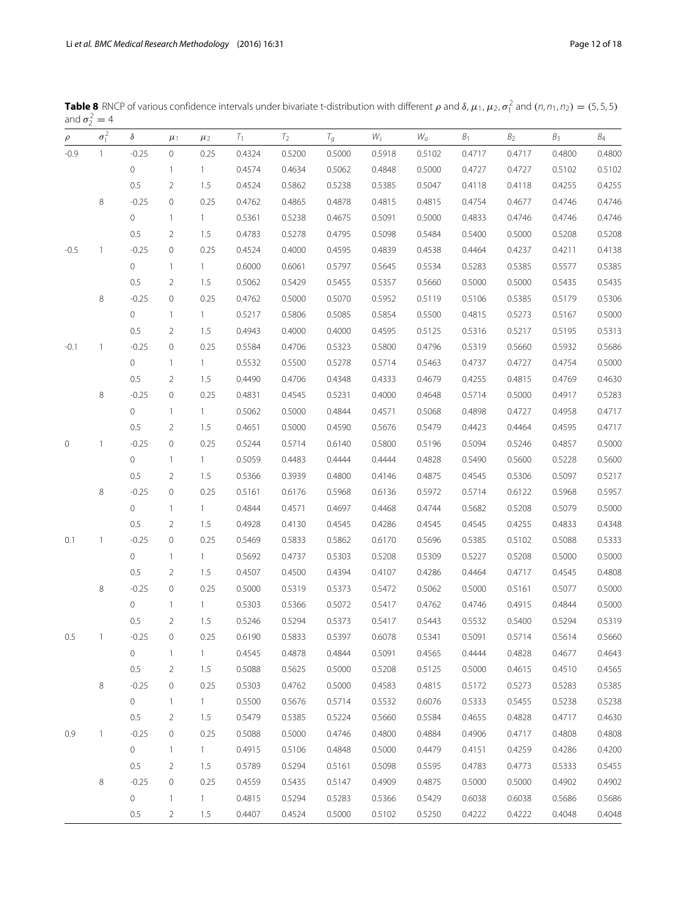| $\rho$ | $\sigma_1^2$ | $\delta$    | $\mu_1$        | $\mu_2$      | $T_1$  | $T_2$  | $T_g$  | Ws     | $W_a$  | $B_1$  | B <sub>2</sub> | $B_3$  | $B_4$  |
|--------|--------------|-------------|----------------|--------------|--------|--------|--------|--------|--------|--------|----------------|--------|--------|
| $-0.9$ | $\mathbf{1}$ | $-0.25$     | $\circ$        | 0.25         | 0.4324 | 0.5200 | 0.5000 | 0.5918 | 0.5102 | 0.4717 | 0.4717         | 0.4800 | 0.4800 |
|        |              | $\circ$     | $\mathbf{1}$   | $1 -$        | 0.4574 | 0.4634 | 0.5062 | 0.4848 | 0.5000 | 0.4727 | 0.4727         | 0.5102 | 0.5102 |
|        |              | 0.5         | 2              | 1.5          | 0.4524 | 0.5862 | 0.5238 | 0.5385 | 0.5047 | 0.4118 | 0.4118         | 0.4255 | 0.4255 |
|        | 8            | $-0.25$     | $\mathbf 0$    | 0.25         | 0.4762 | 0.4865 | 0.4878 | 0.4815 | 0.4815 | 0.4754 | 0.4677         | 0.4746 | 0.4746 |
|        |              | $\circ$     | $\mathbf{1}$   | $1 -$        | 0.5361 | 0.5238 | 0.4675 | 0.5091 | 0.5000 | 0.4833 | 0.4746         | 0.4746 | 0.4746 |
|        |              | 0.5         | 2              | 1.5          | 0.4783 | 0.5278 | 0.4795 | 0.5098 | 0.5484 | 0.5400 | 0.5000         | 0.5208 | 0.5208 |
| $-0.5$ | $\mathbf{1}$ | $-0.25$     | 0              | 0.25         | 0.4524 | 0.4000 | 0.4595 | 0.4839 | 0.4538 | 0.4464 | 0.4237         | 0.4211 | 0.4138 |
|        |              | $\circ$     | $\mathbf{1}$   | $1 -$        | 0.6000 | 0.6061 | 0.5797 | 0.5645 | 0.5534 | 0.5283 | 0.5385         | 0.5577 | 0.5385 |
|        |              | $0.5\,$     | 2              | 1.5          | 0.5062 | 0.5429 | 0.5455 | 0.5357 | 0.5660 | 0.5000 | 0.5000         | 0.5435 | 0.5435 |
|        | 8            | $-0.25$     | $\circ$        | 0.25         | 0.4762 | 0.5000 | 0.5070 | 0.5952 | 0.5119 | 0.5106 | 0.5385         | 0.5179 | 0.5306 |
|        |              | $\circ$     | $\mathbf{1}$   | $1 -$        | 0.5217 | 0.5806 | 0.5085 | 0.5854 | 0.5500 | 0.4815 | 0.5273         | 0.5167 | 0.5000 |
|        |              | $0.5\,$     | 2              | 1.5          | 0.4943 | 0.4000 | 0.4000 | 0.4595 | 0.5125 | 0.5316 | 0.5217         | 0.5195 | 0.5313 |
| $-0.1$ | $\mathbf{1}$ | $-0.25$     | $\mathbf 0$    | 0.25         | 0.5584 | 0.4706 | 0.5323 | 0.5800 | 0.4796 | 0.5319 | 0.5660         | 0.5932 | 0.5686 |
|        |              | $\circ$     | $\mathbf{1}$   | $1 -$        | 0.5532 | 0.5500 | 0.5278 | 0.5714 | 0.5463 | 0.4737 | 0.4727         | 0.4754 | 0.5000 |
|        |              | $0.5\,$     | 2              | 1.5          | 0.4490 | 0.4706 | 0.4348 | 0.4333 | 0.4679 | 0.4255 | 0.4815         | 0.4769 | 0.4630 |
|        | 8            | $-0.25$     | $\circ$        | 0.25         | 0.4831 | 0.4545 | 0.5231 | 0.4000 | 0.4648 | 0.5714 | 0.5000         | 0.4917 | 0.5283 |
|        |              | $\circ$     | $\mathbf{1}$   | 1            | 0.5062 | 0.5000 | 0.4844 | 0.4571 | 0.5068 | 0.4898 | 0.4727         | 0.4958 | 0.4717 |
|        |              | 0.5         | 2              | 1.5          | 0.4651 | 0.5000 | 0.4590 | 0.5676 | 0.5479 | 0.4423 | 0.4464         | 0.4595 | 0.4717 |
| 0      | 1            | $-0.25$     | $\mathbf 0$    | 0.25         | 0.5244 | 0.5714 | 0.6140 | 0.5800 | 0.5196 | 0.5094 | 0.5246         | 0.4857 | 0.5000 |
|        |              | $\circ$     | $\mathbf{1}$   | $\mathbf{1}$ | 0.5059 | 0.4483 | 0.4444 | 0.4444 | 0.4828 | 0.5490 | 0.5600         | 0.5228 | 0.5600 |
|        |              | $0.5\,$     | 2              | 1.5          | 0.5366 | 0.3939 | 0.4800 | 0.4146 | 0.4875 | 0.4545 | 0.5306         | 0.5097 | 0.5217 |
|        | 8            | $-0.25$     | $\mathbf 0$    | 0.25         | 0.5161 | 0.6176 | 0.5968 | 0.6136 | 0.5972 | 0.5714 | 0.6122         | 0.5968 | 0.5957 |
|        |              | $\circ$     | $\mathbf{1}$   | $1 -$        | 0.4844 | 0.4571 | 0.4697 | 0.4468 | 0.4744 | 0.5682 | 0.5208         | 0.5079 | 0.5000 |
|        |              | 0.5         | 2              | 1.5          | 0.4928 | 0.4130 | 0.4545 | 0.4286 | 0.4545 | 0.4545 | 0.4255         | 0.4833 | 0.4348 |
| 0.1    | 1            | $-0.25$     | 0              | 0.25         | 0.5469 | 0.5833 | 0.5862 | 0.6170 | 0.5696 | 0.5385 | 0.5102         | 0.5088 | 0.5333 |
|        |              | 0           | $\mathbf{1}$   | $1 -$        | 0.5692 | 0.4737 | 0.5303 | 0.5208 | 0.5309 | 0.5227 | 0.5208         | 0.5000 | 0.5000 |
|        |              | 0.5         | 2              | 1.5          | 0.4507 | 0.4500 | 0.4394 | 0.4107 | 0.4286 | 0.4464 | 0.4717         | 0.4545 | 0.4808 |
|        | 8            | $-0.25$     | $\circ$        | 0.25         | 0.5000 | 0.5319 | 0.5373 | 0.5472 | 0.5062 | 0.5000 | 0.5161         | 0.5077 | 0.5000 |
|        |              | $\circ$     | $\mathbf{1}$   | $1 -$        | 0.5303 | 0.5366 | 0.5072 | 0.5417 | 0.4762 | 0.4746 | 0.4915         | 0.4844 | 0.5000 |
|        |              | 0.5         | 2              | 1.5          | 0.5246 | 0.5294 | 0.5373 | 0.5417 | 0.5443 | 0.5532 | 0.5400         | 0.5294 | 0.5319 |
| 0.5    | $\mathbf{1}$ | $-0.25$     | $\Omega$       | 0.25         | 0.6190 | 0.5833 | 0.5397 | 0.6078 | 0.5341 | 0.5091 | 0.5714         | 0.5614 | 0.5660 |
|        |              | $\mathbf 0$ | $\mathbf{1}$   | $\mathbf{1}$ | 0.4545 | 0.4878 | 0.4844 | 0.5091 | 0.4565 | 0.4444 | 0.4828         | 0.4677 | 0.4643 |
|        |              | 0.5         | $\overline{2}$ | 1.5          | 0.5088 | 0.5625 | 0.5000 | 0.5208 | 0.5125 | 0.5000 | 0.4615         | 0.4510 | 0.4565 |
|        | 8            | $-0.25$     | $\circ$        | 0.25         | 0.5303 | 0.4762 | 0.5000 | 0.4583 | 0.4815 | 0.5172 | 0.5273         | 0.5283 | 0.5385 |
|        |              | 0           | $\mathbf{1}$   | $\mathbf{1}$ | 0.5500 | 0.5676 | 0.5714 | 0.5532 | 0.6076 | 0.5333 | 0.5455         | 0.5238 | 0.5238 |
|        |              | 0.5         | $\overline{2}$ | 1.5          | 0.5479 | 0.5385 | 0.5224 | 0.5660 | 0.5584 | 0.4655 | 0.4828         | 0.4717 | 0.4630 |
| 0.9    | $\mathbf{1}$ | $-0.25$     | 0              | 0.25         | 0.5088 | 0.5000 | 0.4746 | 0.4800 | 0.4884 | 0.4906 | 0.4717         | 0.4808 | 0.4808 |
|        |              | 0           | $\mathbf{1}$   | $\mathbf{1}$ | 0.4915 | 0.5106 | 0.4848 | 0.5000 | 0.4479 | 0.4151 | 0.4259         | 0.4286 | 0.4200 |
|        |              | 0.5         | $\overline{2}$ | 1.5          | 0.5789 | 0.5294 | 0.5161 | 0.5098 | 0.5595 | 0.4783 | 0.4773         | 0.5333 | 0.5455 |
|        | 8            | $-0.25$     | 0              | 0.25         | 0.4559 | 0.5435 | 0.5147 | 0.4909 | 0.4875 | 0.5000 | 0.5000         | 0.4902 | 0.4902 |
|        |              | $\circ$     | $\mathbf{1}$   | $\mathbf{1}$ | 0.4815 | 0.5294 | 0.5283 | 0.5366 | 0.5429 | 0.6038 | 0.6038         | 0.5686 | 0.5686 |
|        |              | 0.5         | $\overline{2}$ | 1.5          | 0.4407 | 0.4524 | 0.5000 | 0.5102 | 0.5250 | 0.4222 | 0.4222         | 0.4048 | 0.4048 |

<span id="page-11-0"></span>**Table 8** RNCP of various confidence intervals under bivariate t-distribution with different  $\rho$  and  $\delta$ ,  $\mu_1$ ,  $\mu_2$ ,  $\sigma_1^2$  and  $(n, n_1, n_2) = (5, 5, 5)$ and  $\sigma_2^2 = 4$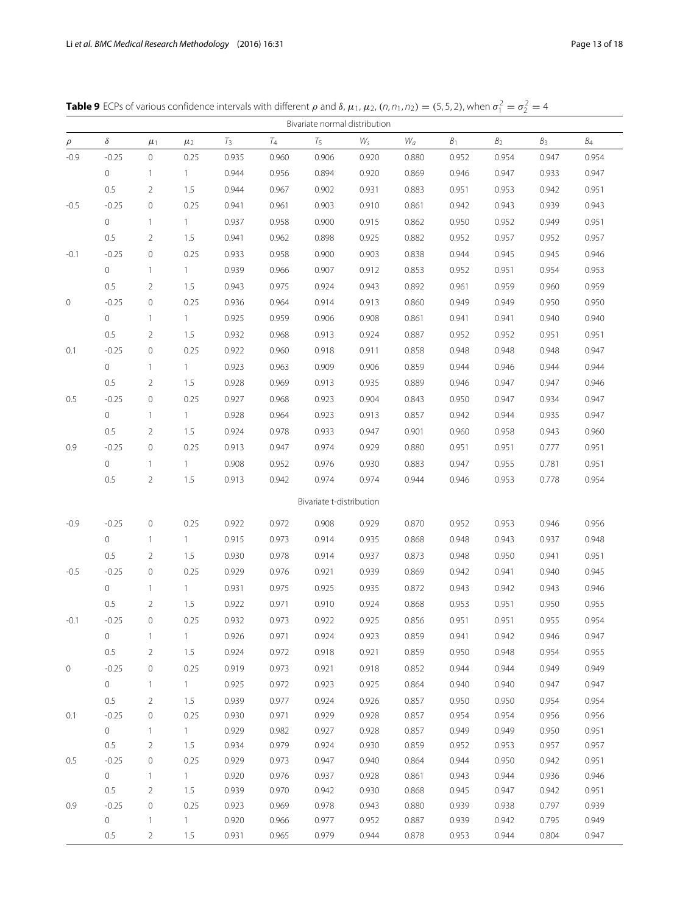|        | Bivariate normal distribution |                             |                      |                |                |                          |                |                |                |                |                |                 |
|--------|-------------------------------|-----------------------------|----------------------|----------------|----------------|--------------------------|----------------|----------------|----------------|----------------|----------------|-----------------|
| $\rho$ | $\delta$                      | $\mu_1$                     | $\mu_2$              | $T_3$          | $T_{4}$        | $T_5$                    | $W_{\rm s}$    | $W_a$          | $B_1$          | B <sub>2</sub> | B <sub>3</sub> | $\mathcal{B}_4$ |
| $-0.9$ | $-0.25$                       | 0                           | 0.25                 | 0.935          | 0.960          | 0.906                    | 0.920          | 0.880          | 0.952          | 0.954          | 0.947          | 0.954           |
|        | $\mathbf 0$                   | $\mathbf{1}$                | $\mathbf{1}$         | 0.944          | 0.956          | 0.894                    | 0.920          | 0.869          | 0.946          | 0.947          | 0.933          | 0.947           |
|        | 0.5                           | 2                           | 1.5                  | 0.944          | 0.967          | 0.902                    | 0.931          | 0.883          | 0.951          | 0.953          | 0.942          | 0.951           |
| $-0.5$ | $-0.25$                       | $\mathbf 0$                 | 0.25                 | 0.941          | 0.961          | 0.903                    | 0.910          | 0.861          | 0.942          | 0.943          | 0.939          | 0.943           |
|        | $\circ$                       | $\mathbf{1}$                | $\mathbf{1}$         | 0.937          | 0.958          | 0.900                    | 0.915          | 0.862          | 0.950          | 0.952          | 0.949          | 0.951           |
|        | 0.5                           | 2                           | 1.5                  | 0.941          | 0.962          | 0.898                    | 0.925          | 0.882          | 0.952          | 0.957          | 0.952          | 0.957           |
| $-0.1$ | $-0.25$                       | $\mathbf 0$                 | 0.25                 | 0.933          | 0.958          | 0.900                    | 0.903          | 0.838          | 0.944          | 0.945          | 0.945          | 0.946           |
|        | $\circ$                       | $\mathbf{1}$                | $\mathbf{1}$         | 0.939          | 0.966          | 0.907                    | 0.912          | 0.853          | 0.952          | 0.951          | 0.954          | 0.953           |
|        | 0.5                           | $\overline{2}$              | 1.5                  | 0.943          | 0.975          | 0.924                    | 0.943          | 0.892          | 0.961          | 0.959          | 0.960          | 0.959           |
| 0      | $-0.25$                       | $\mathbf 0$                 | 0.25                 | 0.936          | 0.964          | 0.914                    | 0.913          | 0.860          | 0.949          | 0.949          | 0.950          | 0.950           |
|        | $\circ$                       | $\mathbf{1}$                | $\mathbf{1}$         | 0.925          | 0.959          | 0.906                    | 0.908          | 0.861          | 0.941          | 0.941          | 0.940          | 0.940           |
|        | 0.5                           | 2                           | 1.5                  | 0.932          | 0.968          | 0.913                    | 0.924          | 0.887          | 0.952          | 0.952          | 0.951          | 0.951           |
| 0.1    | $-0.25$                       | 0                           | 0.25                 | 0.922          | 0.960          | 0.918                    | 0.911          | 0.858          | 0.948          | 0.948          | 0.948          | 0.947           |
|        | $\circ$                       | $\mathbf{1}$                | $\mathbf{1}$         | 0.923          | 0.963          | 0.909                    | 0.906          | 0.859          | 0.944          | 0.946          | 0.944          | 0.944           |
|        | 0.5                           | $\overline{2}$              | 1.5                  | 0.928          | 0.969          | 0.913                    | 0.935          | 0.889          | 0.946          | 0.947          | 0.947          | 0.946           |
| 0.5    | $-0.25$                       | $\mathbf 0$                 | 0.25                 | 0.927          | 0.968          | 0.923                    | 0.904          | 0.843          | 0.950          | 0.947          | 0.934          | 0.947           |
|        | $\circ$                       | $\mathbf{1}$                | $\mathbf{1}$         | 0.928          | 0.964          | 0.923                    | 0.913          | 0.857          | 0.942          | 0.944          | 0.935          | 0.947           |
|        | 0.5                           | $\overline{2}$              | 1.5                  | 0.924          | 0.978          | 0.933                    | 0.947          | 0.901          | 0.960          | 0.958          | 0.943          | 0.960           |
| 0.9    | $-0.25$                       | $\mathbf 0$                 | 0.25                 | 0.913          | 0.947          | 0.974                    | 0.929          | 0.880          | 0.951          | 0.951          | 0.777          | 0.951           |
|        | $\circ$                       | $\mathbf{1}$                | $\mathbf{1}$         | 0.908          | 0.952          | 0.976                    | 0.930          | 0.883          | 0.947          | 0.955          | 0.781          | 0.951           |
|        | 0.5                           | $\overline{2}$              | 1.5                  | 0.913          | 0.942          | 0.974                    | 0.974          | 0.944          | 0.946          | 0.953          | 0.778          | 0.954           |
|        |                               |                             |                      |                |                | Bivariate t-distribution |                |                |                |                |                |                 |
|        | $-0.25$                       |                             | 0.25                 | 0.922          | 0.972          | 0.908                    | 0.929          | 0.870          | 0.952          | 0.953          | 0.946          | 0.956           |
| $-0.9$ | $\mathbf{0}$                  | $\mathbf 0$                 |                      | 0.915          | 0.973          |                          |                |                | 0.948          |                |                | 0.948           |
|        | 0.5                           | $\mathbf{1}$                | $\mathbf{1}$         |                |                | 0.914                    | 0.935          | 0.868          |                | 0.943          | 0.937          |                 |
| $-0.5$ | $-0.25$                       | $\overline{2}$              | 1.5<br>0.25          | 0.930          | 0.978<br>0.976 | 0.914                    | 0.937          | 0.873          | 0.948          | 0.950          | 0.941          | 0.951<br>0.945  |
|        |                               | $\mathbf 0$                 |                      | 0.929          |                | 0.921                    | 0.939          | 0.869          | 0.942          | 0.941          | 0.940          |                 |
|        | $\circ$                       | $\mathbf{1}$                | $\mathbf{1}$         | 0.931          | 0.975          | 0.925                    | 0.935          | 0.872          | 0.943          | 0.942          | 0.943          | 0.946           |
|        | 0.5                           | $\overline{2}$              | 1.5                  | 0.922          | 0.971          | 0.910                    | 0.924          | 0.868          | 0.953          | 0.951          | 0.950          | 0.955           |
| $-0.1$ | $-0.25$                       | $\mathbf 0$                 | 0.25                 | 0.932          | 0.973          | 0.922                    | 0.925          | 0.856          | 0.951          | 0.951          | 0.955          | 0.954           |
|        | 0                             | -1                          | $\mathbf{1}$         | 0.926          | 0.971          | 0.924                    | 0.923          | 0.859          | 0.941          | 0.942          | 0.946          | 0.947           |
|        | 0.5                           | $\overline{2}$              | 1.5                  | 0.924          | 0.972          | 0.918                    | 0.921          | 0.859          | 0.950          | 0.948          | 0.954          | 0.955           |
| 0      | $-0.25$                       | $\mathbf 0$                 | 0.25                 | 0.919          | 0.973          | 0.921                    | 0.918          | 0.852          | 0.944          | 0.944          | 0.949          | 0.949           |
|        | $\circ$                       | $\mathbf{1}$                | $\mathbf{1}$         | 0.925          | 0.972          | 0.923                    | 0.925          | 0.864          | 0.940          | 0.940          | 0.947          | 0.947           |
|        | 0.5                           | 2                           | 1.5                  | 0.939          | 0.977          | 0.924                    | 0.926          | 0.857          | 0.950          | 0.950          | 0.954          | 0.954           |
| 0.1    | $-0.25$<br>$\circ$            | $\mathbf 0$<br>$\mathbf{1}$ | 0.25<br>$\mathbf{1}$ | 0.930<br>0.929 | 0.971<br>0.982 | 0.929<br>0.927           | 0.928<br>0.928 | 0.857<br>0.857 | 0.954<br>0.949 | 0.954<br>0.949 | 0.956<br>0.950 | 0.956<br>0.951  |
|        | $0.5\,$                       | $\overline{2}$              | 1.5                  | 0.934          | 0.979          | 0.924                    | 0.930          | 0.859          | 0.952          | 0.953          | 0.957          | 0.957           |
| 0.5    | $-0.25$                       | $\mathbf 0$                 | 0.25                 | 0.929          | 0.973          | 0.947                    | 0.940          | 0.864          | 0.944          | 0.950          | 0.942          | 0.951           |
|        | $\circ$                       | $\mathbf{1}$                | $\mathbf{1}$         | 0.920          | 0.976          | 0.937                    | 0.928          | 0.861          | 0.943          | 0.944          | 0.936          | 0.946           |
|        | 0.5                           | $\overline{2}$              | 1.5                  | 0.939          | 0.970          | 0.942                    | 0.930          | 0.868          | 0.945          | 0.947          | 0.942          | 0.951           |
| 0.9    | $-0.25$                       | $\mathbf 0$                 | 0.25                 | 0.923          | 0.969          | 0.978                    | 0.943          | 0.880          | 0.939          | 0.938          | 0.797          | 0.939           |
|        | $\mathsf{O}\xspace$           | $\mathbf{1}$                | $\mathbf{1}$         | 0.920          | 0.966          | 0.977                    | 0.952          | 0.887          | 0.939          | 0.942          | 0.795          | 0.949           |
|        | 0.5                           | $\overline{2}$              | 1.5                  | 0.931          | 0.965          | 0.979                    | 0.944          | 0.878          | 0.953          | 0.944          | 0.804          | 0.947           |

<span id="page-12-0"></span>**Table 9** ECPs of various confidence intervals with different  $\rho$  and  $\delta$ ,  $\mu_1$ ,  $\mu_2$ ,  $(n, n_1, n_2) = (5, 5, 2)$ , when  $\sigma_1^2 = \sigma_2^2 = 4$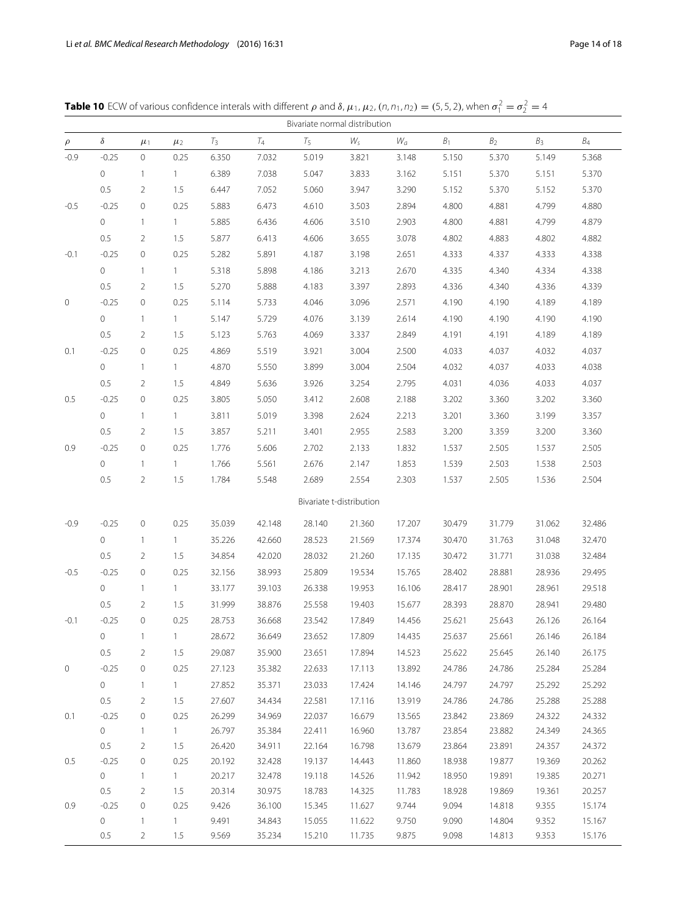<span id="page-13-0"></span>

|        | Bivariate normal distribution |                |              |        |         |        |                          |        |        |                |                |                 |
|--------|-------------------------------|----------------|--------------|--------|---------|--------|--------------------------|--------|--------|----------------|----------------|-----------------|
| $\rho$ | $\delta$                      | $\mu_1$        | $\mu_2$      | $T_3$  | $T_{4}$ | $T_5$  | $W_{\varsigma}$          | $W_a$  | $B_1$  | B <sub>2</sub> | B <sub>3</sub> | $\mathcal{B}_4$ |
| $-0.9$ | $-0.25$                       | $\circ$        | 0.25         | 6.350  | 7.032   | 5.019  | 3.821                    | 3.148  | 5.150  | 5.370          | 5.149          | 5.368           |
|        | 0                             | $\mathbf{1}$   | $\mathbf{1}$ | 6.389  | 7.038   | 5.047  | 3.833                    | 3.162  | 5.151  | 5.370          | 5.151          | 5.370           |
|        | 0.5                           | 2              | 1.5          | 6.447  | 7.052   | 5.060  | 3.947                    | 3.290  | 5.152  | 5.370          | 5.152          | 5.370           |
| $-0.5$ | $-0.25$                       | $\circ$        | 0.25         | 5.883  | 6.473   | 4.610  | 3.503                    | 2.894  | 4.800  | 4.881          | 4.799          | 4.880           |
|        | 0                             | $\mathbf{1}$   | $\mathbf{1}$ | 5.885  | 6.436   | 4.606  | 3.510                    | 2.903  | 4.800  | 4.881          | 4.799          | 4.879           |
|        | 0.5                           | 2              | 1.5          | 5.877  | 6.413   | 4.606  | 3.655                    | 3.078  | 4.802  | 4.883          | 4.802          | 4.882           |
| $-0.1$ | $-0.25$                       | $\circ$        | 0.25         | 5.282  | 5.891   | 4.187  | 3.198                    | 2.651  | 4.333  | 4.337          | 4.333          | 4.338           |
|        | 0                             | $\mathbf{1}$   | $\mathbf{1}$ | 5.318  | 5.898   | 4.186  | 3.213                    | 2.670  | 4.335  | 4.340          | 4.334          | 4.338           |
|        | 0.5                           | 2              | 1.5          | 5.270  | 5.888   | 4.183  | 3.397                    | 2.893  | 4.336  | 4.340          | 4.336          | 4.339           |
| 0      | $-0.25$                       | $\circ$        | 0.25         | 5.114  | 5.733   | 4.046  | 3.096                    | 2.571  | 4.190  | 4.190          | 4.189          | 4.189           |
|        | 0                             | $\mathbf{1}$   | $\mathbf{1}$ | 5.147  | 5.729   | 4.076  | 3.139                    | 2.614  | 4.190  | 4.190          | 4.190          | 4.190           |
|        | 0.5                           | 2              | 1.5          | 5.123  | 5.763   | 4.069  | 3.337                    | 2.849  | 4.191  | 4.191          | 4.189          | 4.189           |
| 0.1    | $-0.25$                       | $\circ$        | 0.25         | 4.869  | 5.519   | 3.921  | 3.004                    | 2.500  | 4.033  | 4.037          | 4.032          | 4.037           |
|        | 0                             | $\overline{1}$ | $\mathbf{1}$ | 4.870  | 5.550   | 3.899  | 3.004                    | 2.504  | 4.032  | 4.037          | 4.033          | 4.038           |
|        | 0.5                           | 2              | 1.5          | 4.849  | 5.636   | 3.926  | 3.254                    | 2.795  | 4.031  | 4.036          | 4.033          | 4.037           |
| 0.5    | $-0.25$                       | $\circ$        | 0.25         | 3.805  | 5.050   | 3.412  | 2.608                    | 2.188  | 3.202  | 3.360          | 3.202          | 3.360           |
|        | 0                             | $\mathbf{1}$   | $\mathbf{1}$ | 3.811  | 5.019   | 3.398  | 2.624                    | 2.213  | 3.201  | 3.360          | 3.199          | 3.357           |
|        | 0.5                           | 2              | 1.5          | 3.857  | 5.211   | 3.401  | 2.955                    | 2.583  | 3.200  | 3.359          | 3.200          | 3.360           |
| 0.9    | $-0.25$                       | $\circ$        | 0.25         | 1.776  | 5.606   | 2.702  | 2.133                    | 1.832  | 1.537  | 2.505          | 1.537          | 2.505           |
|        | 0                             | $\overline{1}$ | $\mathbf{1}$ | 1.766  | 5.561   | 2.676  | 2.147                    | 1.853  | 1.539  | 2.503          | 1.538          | 2.503           |
|        | 0.5                           | 2              | 1.5          | 1.784  | 5.548   | 2.689  | 2.554                    | 2.303  | 1.537  | 2.505          | 1.536          | 2.504           |
|        |                               |                |              |        |         |        |                          |        |        |                |                |                 |
|        |                               |                |              |        |         |        | Bivariate t-distribution |        |        |                |                |                 |
| $-0.9$ | $-0.25$                       | $\circ$        | 0.25         | 35.039 | 42.148  | 28.140 | 21.360                   | 17.207 | 30.479 | 31.779         | 31.062         | 32.486          |
|        | 0                             | $\mathbf{1}$   | $\mathbf{1}$ | 35.226 | 42.660  | 28.523 | 21.569                   | 17.374 | 30.470 | 31.763         | 31.048         | 32.470          |
|        | 0.5                           | 2              | 1.5          | 34.854 | 42.020  | 28.032 | 21.260                   | 17.135 | 30.472 | 31.771         | 31.038         | 32.484          |
| $-0.5$ | $-0.25$                       | $\circ$        | 0.25         | 32.156 | 38.993  | 25.809 | 19.534                   | 15.765 | 28.402 | 28.881         | 28.936         | 29.495          |
|        | 0                             | $\overline{1}$ | $\mathbf{1}$ | 33.177 | 39.103  | 26.338 | 19.953                   | 16.106 | 28.417 | 28.901         | 28.961         | 29.518          |
|        | 0.5                           | 2              | 1.5          | 31.999 | 38.876  | 25.558 | 19.403                   | 15.677 | 28.393 | 28.870         | 28.941         | 29.480          |
| $-0.1$ | $-0.25$                       | $\mathbf 0$    | 0.25         | 28.753 | 36.668  | 23.542 | 17.849                   | 14.456 | 25.621 | 25.643         | 26.126         | 26.164          |
|        | 0                             | $\mathbf{1}$   | $\mathbf{1}$ | 28.672 | 36.649  | 23.652 | 17.809                   | 14.435 | 25.637 | 25.661         | 26.146         | 26.184          |
|        | 0.5                           | 2              | 1.5          | 29.087 | 35.900  | 23.651 | 17.894                   | 14.523 | 25.622 | 25.645         | 26.140         | 26.175          |
| 0      | $-0.25$                       | 0              | 0.25         | 27.123 | 35.382  | 22.633 | 17.113                   | 13.892 | 24.786 | 24.786         | 25.284         | 25.284          |
|        | $\circ$                       | $\overline{1}$ | $\mathbf{1}$ | 27.852 | 35.371  | 23.033 | 17.424                   | 14.146 | 24.797 | 24.797         | 25.292         | 25.292          |
|        | 0.5                           | 2              | 1.5          | 27.607 | 34.434  | 22.581 | 17.116                   | 13.919 | 24.786 | 24.786         | 25.288         | 25.288          |
| 0.1    | $-0.25$                       | 0              | 0.25         | 26.299 | 34.969  | 22.037 | 16.679                   | 13.565 | 23.842 | 23.869         | 24.322         | 24.332          |
|        | 0                             | $\mathbf{1}$   | $\mathbf{1}$ | 26.797 | 35.384  | 22.411 | 16.960                   | 13.787 | 23.854 | 23.882         | 24.349         | 24.365          |
|        | 0.5                           | 2              | 1.5          | 26.420 | 34.911  | 22.164 | 16.798                   | 13.679 | 23.864 | 23.891         | 24.357         | 24.372          |
| 0.5    | $-0.25$                       | 0              | 0.25         | 20.192 | 32.428  | 19.137 | 14.443                   | 11.860 | 18.938 | 19.877         | 19.369         | 20.262          |
|        | 0                             | $\overline{1}$ | 1            | 20.217 | 32.478  | 19.118 | 14.526                   | 11.942 | 18.950 | 19.891         | 19.385         | 20.271          |
|        | 0.5                           | 2              | 1.5          | 20.314 | 30.975  | 18.783 | 14.325                   | 11.783 | 18.928 | 19.869         | 19.361         | 20.257          |
| 0.9    | $-0.25$                       | $\circ$        | 0.25         | 9.426  | 36.100  | 15.345 | 11.627                   | 9.744  | 9.094  | 14.818         | 9.355          | 15.174          |
|        | 0                             | 1              | $\mathbf{1}$ | 9.491  | 34.843  | 15.055 | 11.622                   | 9.750  | 9.090  | 14.804         | 9.352          | 15.167          |
|        | 0.5                           | 2              | 1.5          | 9.569  | 35.234  | 15.210 | 11.735                   | 9.875  | 9.098  | 14.813         | 9.353          | 15.176          |

**Table 10** ECW of various confidence interals with different  $\rho$  and  $\delta$ ,  $\mu_1$ ,  $\mu_2$ ,  $(n, n_1, n_2) = (5, 5, 2)$ , when  $\sigma_1^2 = \sigma_2^2 = 4$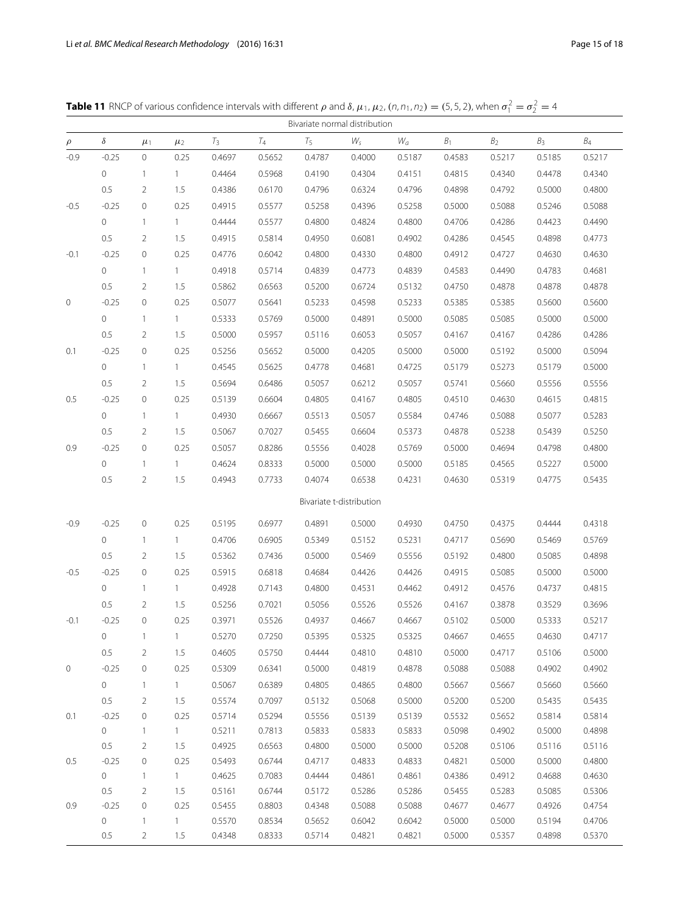<span id="page-14-0"></span>

|  | <b>Table 11</b> RNCP of various confidence intervals with different $\rho$ and $\delta$ , $\mu_1$ , $\mu_2$ , $(n, n_1, n_2) = (5, 5, 2)$ , when $\sigma_1^2 = \sigma_2^2 = 4$ |  |
|--|--------------------------------------------------------------------------------------------------------------------------------------------------------------------------------|--|
|--|--------------------------------------------------------------------------------------------------------------------------------------------------------------------------------|--|

| Bivariate normal distribution |          |                |              |        |        |        |                          |        |        |                |                |                 |
|-------------------------------|----------|----------------|--------------|--------|--------|--------|--------------------------|--------|--------|----------------|----------------|-----------------|
| $\rho$                        | $\delta$ | $\mu_1$        | $\mu_2$      | $T_3$  | $T_4$  | $T_5$  | $W_{\varsigma}$          | $W_a$  | $B_1$  | B <sub>2</sub> | B <sub>3</sub> | $\mathcal{B}_4$ |
| $-0.9$                        | $-0.25$  | $\circ$        | 0.25         | 0.4697 | 0.5652 | 0.4787 | 0.4000                   | 0.5187 | 0.4583 | 0.5217         | 0.5185         | 0.5217          |
|                               | 0        | $\mathbf{1}$   | $\mathbf{1}$ | 0.4464 | 0.5968 | 0.4190 | 0.4304                   | 0.4151 | 0.4815 | 0.4340         | 0.4478         | 0.4340          |
|                               | 0.5      | 2              | 1.5          | 0.4386 | 0.6170 | 0.4796 | 0.6324                   | 0.4796 | 0.4898 | 0.4792         | 0.5000         | 0.4800          |
| $-0.5$                        | $-0.25$  | 0              | 0.25         | 0.4915 | 0.5577 | 0.5258 | 0.4396                   | 0.5258 | 0.5000 | 0.5088         | 0.5246         | 0.5088          |
|                               | $\circ$  | $\mathbf{1}$   | $\mathbf{1}$ | 0.4444 | 0.5577 | 0.4800 | 0.4824                   | 0.4800 | 0.4706 | 0.4286         | 0.4423         | 0.4490          |
|                               | 0.5      | 2              | 1.5          | 0.4915 | 0.5814 | 0.4950 | 0.6081                   | 0.4902 | 0.4286 | 0.4545         | 0.4898         | 0.4773          |
| $-0.1$                        | $-0.25$  | 0              | 0.25         | 0.4776 | 0.6042 | 0.4800 | 0.4330                   | 0.4800 | 0.4912 | 0.4727         | 0.4630         | 0.4630          |
|                               | 0        | $\mathbf{1}$   | $\mathbf{1}$ | 0.4918 | 0.5714 | 0.4839 | 0.4773                   | 0.4839 | 0.4583 | 0.4490         | 0.4783         | 0.4681          |
|                               | 0.5      | 2              | 1.5          | 0.5862 | 0.6563 | 0.5200 | 0.6724                   | 0.5132 | 0.4750 | 0.4878         | 0.4878         | 0.4878          |
| $\circ$                       | $-0.25$  | 0              | 0.25         | 0.5077 | 0.5641 | 0.5233 | 0.4598                   | 0.5233 | 0.5385 | 0.5385         | 0.5600         | 0.5600          |
|                               | 0        | $\mathbf{1}$   | $\mathbf{1}$ | 0.5333 | 0.5769 | 0.5000 | 0.4891                   | 0.5000 | 0.5085 | 0.5085         | 0.5000         | 0.5000          |
|                               | 0.5      | 2              | 1.5          | 0.5000 | 0.5957 | 0.5116 | 0.6053                   | 0.5057 | 0.4167 | 0.4167         | 0.4286         | 0.4286          |
| 0.1                           | $-0.25$  | 0              | 0.25         | 0.5256 | 0.5652 | 0.5000 | 0.4205                   | 0.5000 | 0.5000 | 0.5192         | 0.5000         | 0.5094          |
|                               | 0        | $\mathbf{1}$   | $\mathbf{1}$ | 0.4545 | 0.5625 | 0.4778 | 0.4681                   | 0.4725 | 0.5179 | 0.5273         | 0.5179         | 0.5000          |
|                               | 0.5      | 2              | 1.5          | 0.5694 | 0.6486 | 0.5057 | 0.6212                   | 0.5057 | 0.5741 | 0.5660         | 0.5556         | 0.5556          |
| 0.5                           | $-0.25$  | 0              | 0.25         | 0.5139 | 0.6604 | 0.4805 | 0.4167                   | 0.4805 | 0.4510 | 0.4630         | 0.4615         | 0.4815          |
|                               | 0        | $\mathbf{1}$   | $\mathbf{1}$ | 0.4930 | 0.6667 | 0.5513 | 0.5057                   | 0.5584 | 0.4746 | 0.5088         | 0.5077         | 0.5283          |
|                               | 0.5      | 2              | 1.5          | 0.5067 | 0.7027 | 0.5455 | 0.6604                   | 0.5373 | 0.4878 | 0.5238         | 0.5439         | 0.5250          |
| 0.9                           | $-0.25$  | 0              | 0.25         | 0.5057 | 0.8286 | 0.5556 | 0.4028                   | 0.5769 | 0.5000 | 0.4694         | 0.4798         | 0.4800          |
|                               | 0        | $\mathbf{1}$   | $\mathbf{1}$ | 0.4624 | 0.8333 | 0.5000 | 0.5000                   | 0.5000 | 0.5185 | 0.4565         | 0.5227         | 0.5000          |
|                               | 0.5      | 2              | 1.5          | 0.4943 | 0.7733 | 0.4074 | 0.6538                   | 0.4231 | 0.4630 | 0.5319         | 0.4775         | 0.5435          |
|                               |          |                |              |        |        |        | Bivariate t-distribution |        |        |                |                |                 |
| $-0.9$                        | $-0.25$  | $\circ$        | 0.25         | 0.5195 | 0.6977 | 0.4891 | 0.5000                   | 0.4930 | 0.4750 | 0.4375         | 0.4444         | 0.4318          |
|                               | 0        | $\mathbf{1}$   | $\mathbf{1}$ | 0.4706 | 0.6905 | 0.5349 | 0.5152                   | 0.5231 | 0.4717 | 0.5690         | 0.5469         | 0.5769          |
|                               | 0.5      | 2              | 1.5          | 0.5362 | 0.7436 | 0.5000 | 0.5469                   | 0.5556 | 0.5192 | 0.4800         | 0.5085         | 0.4898          |
| $-0.5$                        | $-0.25$  | 0              | 0.25         | 0.5915 | 0.6818 | 0.4684 | 0.4426                   | 0.4426 | 0.4915 | 0.5085         | 0.5000         | 0.5000          |
|                               | 0        | $\mathbf{1}$   | $\mathbf{1}$ | 0.4928 | 0.7143 | 0.4800 | 0.4531                   | 0.4462 | 0.4912 | 0.4576         | 0.4737         | 0.4815          |
|                               | 0.5      | 2              | 1.5          | 0.5256 | 0.7021 | 0.5056 | 0.5526                   | 0.5526 | 0.4167 | 0.3878         | 0.3529         | 0.3696          |
| $-0.1$                        | $-0.25$  | 0              | 0.25         | 0.3971 | 0.5526 | 0.4937 | 0.4667                   | 0.4667 | 0.5102 | 0.5000         | 0.5333         | 0.5217          |
|                               | 0        |                |              | 0.5270 | 0.7250 | 0.5395 | 0.5325                   | 0.5325 | 0.4667 | 0.4655         | 0.4630         | 0.4717          |
|                               | 0.5      | 2              | 1.5          | 0.4605 | 0.5750 | 0.4444 | 0.4810                   | 0.4810 | 0.5000 | 0.4717         | 0.5106         | 0.5000          |
| $\circ$                       | $-0.25$  | $\mathbf 0$    | 0.25         | 0.5309 | 0.6341 | 0.5000 | 0.4819                   | 0.4878 | 0.5088 | 0.5088         | 0.4902         | 0.4902          |
|                               | 0        | $\mathbf{1}$   | $\mathbf{1}$ | 0.5067 | 0.6389 | 0.4805 | 0.4865                   | 0.4800 | 0.5667 | 0.5667         | 0.5660         | 0.5660          |
|                               | $0.5\,$  | $\overline{2}$ | 1.5          | 0.5574 | 0.7097 | 0.5132 | 0.5068                   | 0.5000 | 0.5200 | 0.5200         | 0.5435         | 0.5435          |
| 0.1                           | $-0.25$  | 0              | 0.25         | 0.5714 | 0.5294 | 0.5556 | 0.5139                   | 0.5139 | 0.5532 | 0.5652         | 0.5814         | 0.5814          |
|                               | $\circ$  | $\mathbf{1}$   | 1            | 0.5211 | 0.7813 | 0.5833 | 0.5833                   | 0.5833 | 0.5098 | 0.4902         | 0.5000         | 0.4898          |
|                               | $0.5\,$  | 2              | 1.5          | 0.4925 | 0.6563 | 0.4800 | 0.5000                   | 0.5000 | 0.5208 | 0.5106         | 0.5116         | 0.5116          |
| 0.5                           | $-0.25$  | 0              | 0.25         | 0.5493 | 0.6744 | 0.4717 | 0.4833                   | 0.4833 | 0.4821 | 0.5000         | 0.5000         | 0.4800          |
|                               | 0        | $\mathbf{1}$   | $\mathbf{1}$ | 0.4625 | 0.7083 | 0.4444 | 0.4861                   | 0.4861 | 0.4386 | 0.4912         | 0.4688         | 0.4630          |
|                               | 0.5      | 2              | 1.5          | 0.5161 | 0.6744 | 0.5172 | 0.5286                   | 0.5286 | 0.5455 | 0.5283         | 0.5085         | 0.5306          |
| 0.9                           | $-0.25$  | 0              | 0.25         | 0.5455 | 0.8803 | 0.4348 | 0.5088                   | 0.5088 | 0.4677 | 0.4677         | 0.4926         | 0.4754          |
|                               | 0        | $\mathbf{1}$   | $\mathbf{1}$ | 0.5570 | 0.8534 | 0.5652 | 0.6042                   | 0.6042 | 0.5000 | 0.5000         | 0.5194         | 0.4706          |
|                               | 0.5      | $\overline{2}$ | 1.5          | 0.4348 | 0.8333 | 0.5714 | 0.4821                   | 0.4821 | 0.5000 | 0.5357         | 0.4898         | 0.5370          |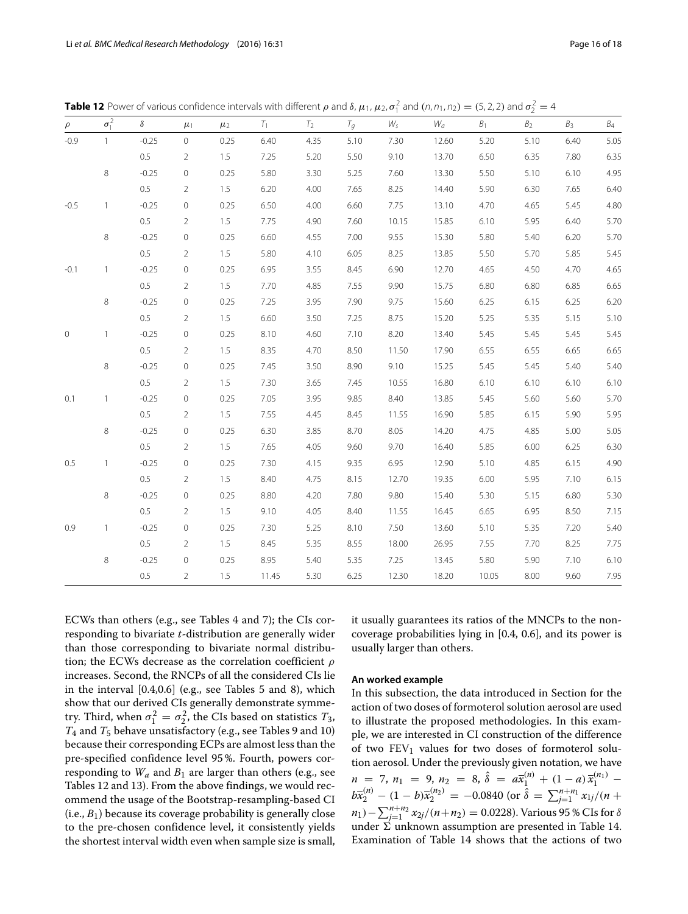| $\rho$  | $\sigma_1^2$ | $\delta$ | $\mu_1$        | $\mu_2$ | $T_1$ | $T_2$ | $T_g$ | $W_{\mathsf{s}}$ | $W_a$ | B <sub>1</sub> | B <sub>2</sub> | $B_3$ | $\mathcal{B}_4$ |
|---------|--------------|----------|----------------|---------|-------|-------|-------|------------------|-------|----------------|----------------|-------|-----------------|
| $-0.9$  | $\mathbf{1}$ | $-0.25$  | $\circ$        | 0.25    | 6.40  | 4.35  | 5.10  | 7.30             | 12.60 | 5.20           | 5.10           | 6.40  | 5.05            |
|         |              | 0.5      | $\overline{2}$ | 1.5     | 7.25  | 5.20  | 5.50  | 9.10             | 13.70 | 6.50           | 6.35           | 7.80  | 6.35            |
|         | 8            | $-0.25$  | $\circ$        | 0.25    | 5.80  | 3.30  | 5.25  | 7.60             | 13.30 | 5.50           | 5.10           | 6.10  | 4.95            |
|         |              | 0.5      | $\overline{2}$ | 1.5     | 6.20  | 4.00  | 7.65  | 8.25             | 14.40 | 5.90           | 6.30           | 7.65  | 6.40            |
| $-0.5$  | 1            | $-0.25$  | $\circ$        | 0.25    | 6.50  | 4.00  | 6.60  | 7.75             | 13.10 | 4.70           | 4.65           | 5.45  | 4.80            |
|         |              | 0.5      | $\overline{2}$ | 1.5     | 7.75  | 4.90  | 7.60  | 10.15            | 15.85 | 6.10           | 5.95           | 6.40  | 5.70            |
|         | 8            | $-0.25$  | $\circ$        | 0.25    | 6.60  | 4.55  | 7.00  | 9.55             | 15.30 | 5.80           | 5.40           | 6.20  | 5.70            |
|         |              | 0.5      | $\overline{2}$ | 1.5     | 5.80  | 4.10  | 6.05  | 8.25             | 13.85 | 5.50           | 5.70           | 5.85  | 5.45            |
| $-0.1$  | 1            | $-0.25$  | $\circ$        | 0.25    | 6.95  | 3.55  | 8.45  | 6.90             | 12.70 | 4.65           | 4.50           | 4.70  | 4.65            |
|         |              | 0.5      | 2              | 1.5     | 7.70  | 4.85  | 7.55  | 9.90             | 15.75 | 6.80           | 6.80           | 6.85  | 6.65            |
|         | 8            | $-0.25$  | $\circ$        | 0.25    | 7.25  | 3.95  | 7.90  | 9.75             | 15.60 | 6.25           | 6.15           | 6.25  | 6.20            |
|         |              | 0.5      | $\overline{2}$ | 1.5     | 6.60  | 3.50  | 7.25  | 8.75             | 15.20 | 5.25           | 5.35           | 5.15  | 5.10            |
| $\circ$ | 1            | $-0.25$  | $\circ$        | 0.25    | 8.10  | 4.60  | 7.10  | 8.20             | 13.40 | 5.45           | 5.45           | 5.45  | 5.45            |
|         |              | 0.5      | $\overline{2}$ | 1.5     | 8.35  | 4.70  | 8.50  | 11.50            | 17.90 | 6.55           | 6.55           | 6.65  | 6.65            |
|         | 8            | $-0.25$  | $\circ$        | 0.25    | 7.45  | 3.50  | 8.90  | 9.10             | 15.25 | 5.45           | 5.45           | 5.40  | 5.40            |
|         |              | 0.5      | $\overline{2}$ | 1.5     | 7.30  | 3.65  | 7.45  | 10.55            | 16.80 | 6.10           | 6.10           | 6.10  | 6.10            |
| 0.1     | 1            | $-0.25$  | $\circ$        | 0.25    | 7.05  | 3.95  | 9.85  | 8.40             | 13.85 | 5.45           | 5.60           | 5.60  | 5.70            |
|         |              | 0.5      | 2              | 1.5     | 7.55  | 4.45  | 8.45  | 11.55            | 16.90 | 5.85           | 6.15           | 5.90  | 5.95            |
|         | 8            | $-0.25$  | $\circ$        | 0.25    | 6.30  | 3.85  | 8.70  | 8.05             | 14.20 | 4.75           | 4.85           | 5.00  | 5.05            |
|         |              | 0.5      | $\overline{2}$ | 1.5     | 7.65  | 4.05  | 9.60  | 9.70             | 16.40 | 5.85           | 6.00           | 6.25  | 6.30            |
| 0.5     | 1            | $-0.25$  | $\circ$        | 0.25    | 7.30  | 4.15  | 9.35  | 6.95             | 12.90 | 5.10           | 4.85           | 6.15  | 4.90            |
|         |              | 0.5      | $\overline{2}$ | 1.5     | 8.40  | 4.75  | 8.15  | 12.70            | 19.35 | 6.00           | 5.95           | 7.10  | 6.15            |
|         | 8            | $-0.25$  | $\circ$        | 0.25    | 8.80  | 4.20  | 7.80  | 9.80             | 15.40 | 5.30           | 5.15           | 6.80  | 5.30            |
|         |              | 0.5      | 2              | 1.5     | 9.10  | 4.05  | 8.40  | 11.55            | 16.45 | 6.65           | 6.95           | 8.50  | 7.15            |
| 0.9     | 1            | $-0.25$  | $\circ$        | 0.25    | 7.30  | 5.25  | 8.10  | 7.50             | 13.60 | 5.10           | 5.35           | 7.20  | 5.40            |
|         |              | 0.5      | 2              | 1.5     | 8.45  | 5.35  | 8.55  | 18.00            | 26.95 | 7.55           | 7.70           | 8.25  | 7.75            |
|         | 8            | $-0.25$  | $\circ$        | 0.25    | 8.95  | 5.40  | 5.35  | 7.25             | 13.45 | 5.80           | 5.90           | 7.10  | 6.10            |
|         |              | 0.5      | $\overline{2}$ | 1.5     | 11.45 | 5.30  | 6.25  | 12.30            | 18.20 | 10.05          | 8.00           | 9.60  | 7.95            |

<span id="page-15-0"></span>**Table 12** Power of various confidence intervals with different  $\rho$  and  $\delta$ ,  $\mu_1$ ,  $\mu_2$ ,  $\sigma_1^2$  and  $(n, n_1, n_2) = (5, 2, 2)$  and  $\sigma_2^2 = 4$ 

ECWs than others (e.g., see Tables [4](#page-7-0) and [7\)](#page-10-0); the CIs corresponding to bivariate *t*-distribution are generally wider than those corresponding to bivariate normal distribution; the ECWs decrease as the correlation coefficient  $\rho$ increases. Second, the RNCPs of all the considered CIs lie in the interval [0.4,0.6] (e.g., see Tables [5](#page-8-0) and [8\)](#page-11-0), which show that our derived CIs generally demonstrate symmetry. Third, when  $\sigma_1^2 = \sigma_2^2$ , the CIs based on statistics  $T_3$ , *T*<sup>4</sup> and *T*<sup>5</sup> behave unsatisfactory (e.g., see Tables [9](#page-12-0) and [10\)](#page-13-0) because their corresponding ECPs are almost less than the pre-specified confidence level 95 %. Fourth, powers corresponding to  $W_a$  and  $B_1$  are larger than others (e.g., see Tables [12](#page-15-0) and [13\)](#page-16-1). From the above findings, we would recommend the usage of the Bootstrap-resampling-based CI  $(i.e.,  $B_1$ ) because its coverage probability is generally close$ to the pre-chosen confidence level, it consistently yields the shortest interval width even when sample size is small,

it usually guarantees its ratios of the MNCPs to the noncoverage probabilities lying in [0.4, 0.6], and its power is usually larger than others.

## **An worked example**

In this subsection, the data introduced in Section for the action of two doses of formoterol solution aerosol are used to illustrate the proposed methodologies. In this example, we are interested in CI construction of the difference of two  $FEV<sub>1</sub>$  values for two doses of formoterol solution aerosol. Under the previously given notation, we have  $n = 7, n_1 = 9, n_2 = 8, \hat{\delta} = a\overline{x}_1^{(n)} + (1-a)\overline{x}_1^{(n_1)}$  $b\bar{x}_2^{(n)} - (1-b)\bar{x}_2^{(n_2)} = -0.0840$  (or  $\hat{\delta} = \sum_{j=1}^{n+n_1} x_{1j}/(n+1)$  $n_1$ ) –  $\sum_{j=1}^{n+n_2} x_{2j}/(n+n_2) = 0.0228$ . Various 95 % CIs for  $\delta$ under  $\Sigma$  unknown assumption are presented in Table [14.](#page-17-27) Examination of Table [14](#page-17-27) shows that the actions of two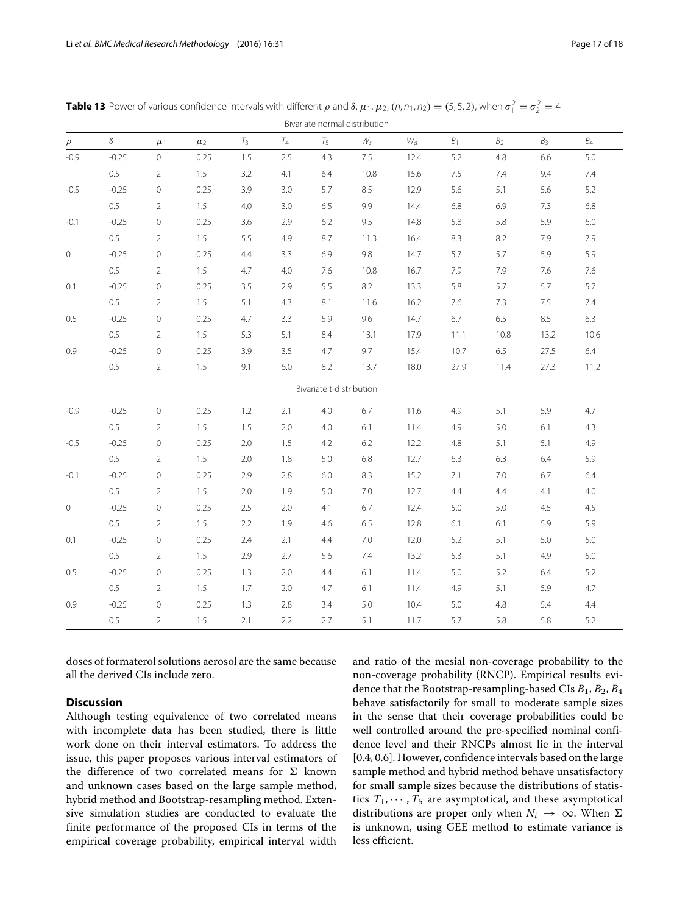| Bivariate normal distribution |          |                     |         |       |         |                          |         |       |       |                |                |       |
|-------------------------------|----------|---------------------|---------|-------|---------|--------------------------|---------|-------|-------|----------------|----------------|-------|
| $\rho$                        | $\delta$ | $\mu_1$             | $\mu_2$ | $T_3$ | $T_{4}$ | $T_5$                    | $W_{S}$ | $W_a$ | $B_1$ | B <sub>2</sub> | B <sub>3</sub> | $B_4$ |
| $-0.9$                        | $-0.25$  | $\mathsf{O}\xspace$ | 0.25    | 1.5   | 2.5     | 4.3                      | $7.5\,$ | 12.4  | 5.2   | 4.8            | 6.6            | $5.0$ |
|                               | 0.5      | $\overline{2}$      | 1.5     | 3.2   | 4.1     | 6.4                      | 10.8    | 15.6  | 7.5   | 7.4            | 9.4            | 7.4   |
| $-0.5$                        | $-0.25$  | $\circ$             | 0.25    | 3.9   | 3.0     | 5.7                      | 8.5     | 12.9  | 5.6   | 5.1            | 5.6            | 5.2   |
|                               | $0.5\,$  | $\overline{2}$      | 1.5     | 4.0   | 3.0     | 6.5                      | 9.9     | 14.4  | 6.8   | 6.9            | 7.3            | 6.8   |
| $-0.1$                        | $-0.25$  | $\circ$             | 0.25    | 3.6   | 2.9     | 6.2                      | 9.5     | 14.8  | 5.8   | 5.8            | 5.9            | 6.0   |
|                               | 0.5      | $\overline{2}$      | 1.5     | 5.5   | 4.9     | 8.7                      | 11.3    | 16.4  | 8.3   | 8.2            | 7.9            | 7.9   |
| $\mathbf 0$                   | $-0.25$  | $\circ$             | 0.25    | 4.4   | 3.3     | 6.9                      | 9.8     | 14.7  | 5.7   | 5.7            | 5.9            | 5.9   |
|                               | $0.5\,$  | $\overline{2}$      | 1.5     | 4.7   | 4.0     | 7.6                      | 10.8    | 16.7  | 7.9   | 7.9            | 7.6            | 7.6   |
| 0.1                           | $-0.25$  | $\circ$             | 0.25    | 3.5   | 2.9     | 5.5                      | 8.2     | 13.3  | 5.8   | 5.7            | 5.7            | 5.7   |
|                               | 0.5      | $\overline{2}$      | 1.5     | 5.1   | 4.3     | 8.1                      | 11.6    | 16.2  | 7.6   | 7.3            | 7.5            | 7.4   |
| 0.5                           | $-0.25$  | $\circ$             | 0.25    | 4.7   | 3.3     | 5.9                      | 9.6     | 14.7  | 6.7   | 6.5            | 8.5            | 6.3   |
|                               | $0.5\,$  | $\overline{2}$      | 1.5     | 5.3   | 5.1     | 8.4                      | 13.1    | 17.9  | 11.1  | 10.8           | 13.2           | 10.6  |
| 0.9                           | $-0.25$  | $\overline{0}$      | 0.25    | 3.9   | 3.5     | 4.7                      | 9.7     | 15.4  | 10.7  | 6.5            | 27.5           | 6.4   |
|                               | $0.5\,$  | $\overline{2}$      | 1.5     | 9.1   | 6.0     | 8.2                      | 13.7    | 18.0  | 27.9  | 11.4           | 27.3           | 11.2  |
|                               |          |                     |         |       |         | Bivariate t-distribution |         |       |       |                |                |       |
| $-0.9$                        | $-0.25$  | $\circ$             | 0.25    | 1.2   | 2.1     | 4.0                      | 6.7     | 11.6  | 4.9   | 5.1            | 5.9            | 4.7   |
|                               | 0.5      | $\overline{2}$      | 1.5     | 1.5   | 2.0     | 4.0                      | 6.1     | 11.4  | 4.9   | 5.0            | 6.1            | 4.3   |
| $-0.5$                        | $-0.25$  | $\circ$             | 0.25    | 2.0   | 1.5     | 4.2                      | $6.2\,$ | 12.2  | 4.8   | 5.1            | 5.1            | 4.9   |
|                               | 0.5      | $\overline{2}$      | 1.5     | 2.0   | 1.8     | 5.0                      | 6.8     | 12.7  | 6.3   | 6.3            | 6.4            | 5.9   |
| $-0.1$                        | $-0.25$  | 0                   | 0.25    | 2.9   | 2.8     | 6.0                      | 8.3     | 15.2  | 7.1   | 7.0            | 6.7            | 6.4   |
|                               | $0.5\,$  | $\overline{2}$      | 1.5     | 2.0   | 1.9     | 5.0                      | 7.0     | 12.7  | 4.4   | 4.4            | 4.1            | 4.0   |
| $\circ$                       | $-0.25$  | $\circ$             | 0.25    | 2.5   | 2.0     | 4.1                      | 6.7     | 12.4  | 5.0   | 5.0            | 4.5            | 4.5   |
|                               | $0.5\,$  | $\overline{2}$      | 1.5     | 2.2   | 1.9     | 4.6                      | 6.5     | 12.8  | 6.1   | 6.1            | 5.9            | 5.9   |
| 0.1                           | $-0.25$  | $\circ$             | 0.25    | 2.4   | 2.1     | 4.4                      | 7.0     | 12.0  | 5.2   | 5.1            | 5.0            | 5.0   |
|                               | $0.5\,$  | $\overline{2}$      | 1.5     | 2.9   | 2.7     | 5.6                      | 7.4     | 13.2  | 5.3   | 5.1            | 4.9            | 5.0   |
| 0.5                           | $-0.25$  | $\circ$             | 0.25    | 1.3   | 2.0     | 4.4                      | 6.1     | 11.4  | 5.0   | 5.2            | 6.4            | 5.2   |
|                               | 0.5      | $\overline{2}$      | 1.5     | 1.7   | 2.0     | 4.7                      | 6.1     | 11.4  | 4.9   | 5.1            | 5.9            | 4.7   |
| 0.9                           | $-0.25$  | $\circ$             | 0.25    | 1.3   | 2.8     | 3.4                      | 5.0     | 10.4  | 5.0   | 4.8            | 5.4            | 4.4   |
|                               | 0.5      | $\overline{2}$      | 1.5     | 2.1   | 2.2     | 2.7                      | 5.1     | 11.7  | 5.7   | 5.8            | 5.8            | 5.2   |

<span id="page-16-1"></span>**Table 13** Power of various confidence intervals with different  $\rho$  and  $\delta$ ,  $\mu_1$ ,  $\mu_2$ ,  $(n, n_1, n_2) = (5, 5, 2)$ , when  $\sigma_1^2 = \sigma_2^2 = 4$ 

doses of formaterol solutions aerosol are the same because all the derived CIs include zero.

## <span id="page-16-0"></span>**Discussion**

Although testing equivalence of two correlated means with incomplete data has been studied, there is little work done on their interval estimators. To address the issue, this paper proposes various interval estimators of the difference of two correlated means for  $\Sigma$  known and unknown cases based on the large sample method, hybrid method and Bootstrap-resampling method. Extensive simulation studies are conducted to evaluate the finite performance of the proposed CIs in terms of the empirical coverage probability, empirical interval width

and ratio of the mesial non-coverage probability to the non-coverage probability (RNCP). Empirical results evidence that the Bootstrap-resampling-based CIs *B*1, *B*2, *B*<sup>4</sup> behave satisfactorily for small to moderate sample sizes in the sense that their coverage probabilities could be well controlled around the pre-specified nominal confidence level and their RNCPs almost lie in the interval [0.4, 0.6]. However, confidence intervals based on the large sample method and hybrid method behave unsatisfactory for small sample sizes because the distributions of statistics  $T_1, \dots, T_5$  are asymptotical, and these asymptotical distributions are proper only when  $N_i \rightarrow \infty$ . When  $\Sigma$ is unknown, using GEE method to estimate variance is less efficient.